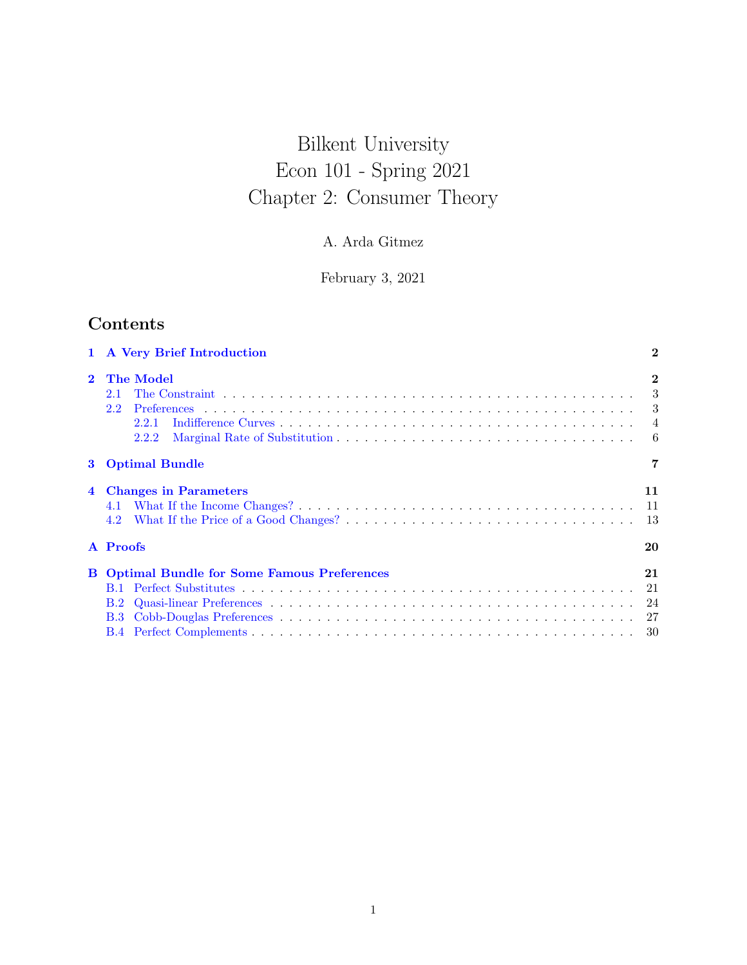# Bilkent University Econ 101 - Spring 2021 Chapter 2: Consumer Theory

# A. Arda Gitmez

February 3, 2021

# Contents

|                                            | $\bf{2}$                                                                                                                |
|--------------------------------------------|-------------------------------------------------------------------------------------------------------------------------|
| The Model<br>2.1<br>2.2<br>2.2.1<br>2.2.2  | $\mathbf{2}$<br>3<br>3<br>$\overline{4}$<br>- 6                                                                         |
|                                            | 7                                                                                                                       |
| <b>Changes in Parameters</b><br>4.1<br>4.2 | 11<br>11<br>13                                                                                                          |
|                                            | 20                                                                                                                      |
| B.2<br>B.3                                 | 21<br>21<br>24<br>-30                                                                                                   |
|                                            | 1 A Very Brief Introduction<br><b>Optimal Bundle</b><br>A Proofs<br><b>B</b> Optimal Bundle for Some Famous Preferences |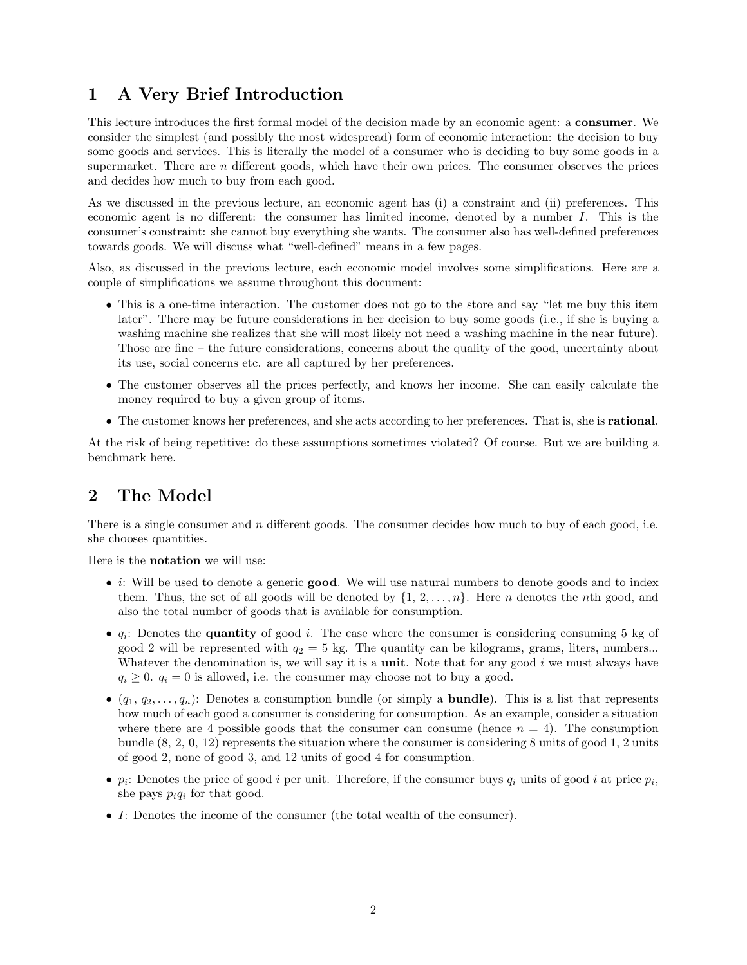# <span id="page-1-0"></span>1 A Very Brief Introduction

This lecture introduces the first formal model of the decision made by an economic agent: a consumer. We consider the simplest (and possibly the most widespread) form of economic interaction: the decision to buy some goods and services. This is literally the model of a consumer who is deciding to buy some goods in a supermarket. There are  $n$  different goods, which have their own prices. The consumer observes the prices and decides how much to buy from each good.

As we discussed in the previous lecture, an economic agent has (i) a constraint and (ii) preferences. This economic agent is no different: the consumer has limited income, denoted by a number I. This is the consumer's constraint: she cannot buy everything she wants. The consumer also has well-defined preferences towards goods. We will discuss what "well-defined" means in a few pages.

Also, as discussed in the previous lecture, each economic model involves some simplifications. Here are a couple of simplifications we assume throughout this document:

- This is a one-time interaction. The customer does not go to the store and say "let me buy this item later". There may be future considerations in her decision to buy some goods (i.e., if she is buying a washing machine she realizes that she will most likely not need a washing machine in the near future). Those are fine – the future considerations, concerns about the quality of the good, uncertainty about its use, social concerns etc. are all captured by her preferences.
- The customer observes all the prices perfectly, and knows her income. She can easily calculate the money required to buy a given group of items.
- The customer knows her preferences, and she acts according to her preferences. That is, she is rational.

At the risk of being repetitive: do these assumptions sometimes violated? Of course. But we are building a benchmark here.

# <span id="page-1-1"></span>2 The Model

There is a single consumer and n different goods. The consumer decides how much to buy of each good, i.e. she chooses quantities.

Here is the notation we will use:

- *i*: Will be used to denote a generic **good**. We will use natural numbers to denote goods and to index them. Thus, the set of all goods will be denoted by  $\{1, 2, \ldots, n\}$ . Here *n* denotes the *n*th good, and also the total number of goods that is available for consumption.
- $q_i$ : Denotes the **quantity** of good i. The case where the consumer is considering consuming 5 kg of good 2 will be represented with  $q_2 = 5$  kg. The quantity can be kilograms, grams, liters, numbers... Whatever the denomination is, we will say it is a **unit**. Note that for any good  $i$  we must always have  $q_i \geq 0$ .  $q_i = 0$  is allowed, i.e. the consumer may choose not to buy a good.
- $(q_1, q_2, \ldots, q_n)$ : Denotes a consumption bundle (or simply a **bundle**). This is a list that represents how much of each good a consumer is considering for consumption. As an example, consider a situation where there are 4 possible goods that the consumer can consume (hence  $n = 4$ ). The consumption bundle (8, 2, 0, 12) represents the situation where the consumer is considering 8 units of good 1, 2 units of good 2, none of good 3, and 12 units of good 4 for consumption.
- $p_i$ : Denotes the price of good i per unit. Therefore, if the consumer buys  $q_i$  units of good i at price  $p_i$ , she pays  $p_iq_i$  for that good.
- I: Denotes the income of the consumer (the total wealth of the consumer).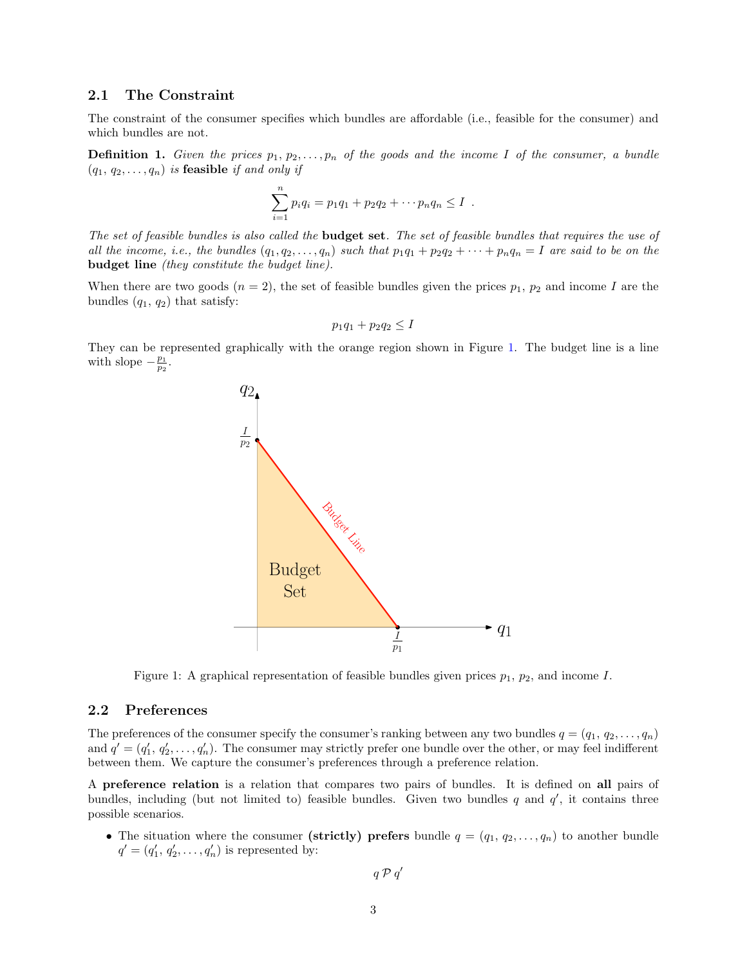#### <span id="page-2-0"></span>2.1 The Constraint

The constraint of the consumer specifies which bundles are affordable (i.e., feasible for the consumer) and which bundles are not.

**Definition 1.** Given the prices  $p_1, p_2, \ldots, p_n$  of the goods and the income I of the consumer, a bundle  $(q_1, q_2, \ldots, q_n)$  is feasible if and only if

$$
\sum_{i=1}^{n} p_i q_i = p_1 q_1 + p_2 q_2 + \cdots p_n q_n \leq I.
$$

The set of feasible bundles is also called the **budget set**. The set of feasible bundles that requires the use of all the income, i.e., the bundles  $(q_1, q_2, \ldots, q_n)$  such that  $p_1q_1 + p_2q_2 + \cdots + p_nq_n = I$  are said to be on the budget line (they constitute the budget line).

When there are two goods  $(n = 2)$ , the set of feasible bundles given the prices  $p_1$ ,  $p_2$  and income I are the bundles  $(q_1, q_2)$  that satisfy:

$$
p_1q_1 + p_2q_2 \leq I
$$

They can be represented graphically with the orange region shown in Figure [1.](#page-2-2) The budget line is a line with slope  $-\frac{p_1}{p_2}$ .



<span id="page-2-2"></span>Figure 1: A graphical representation of feasible bundles given prices  $p_1$ ,  $p_2$ , and income I.

#### <span id="page-2-1"></span>2.2 Preferences

The preferences of the consumer specify the consumer's ranking between any two bundles  $q = (q_1, q_2, \ldots, q_n)$ and  $q' = (q'_1, q'_2, \ldots, q'_n)$ . The consumer may strictly prefer one bundle over the other, or may feel indifferent between them. We capture the consumer's preferences through a preference relation.

A preference relation is a relation that compares two pairs of bundles. It is defined on all pairs of bundles, including (but not limited to) feasible bundles. Given two bundles  $q$  and  $q'$ , it contains three possible scenarios.

• The situation where the consumer (strictly) prefers bundle  $q = (q_1, q_2, \ldots, q_n)$  to another bundle  $q' = (q'_1, q'_2, \ldots, q'_n)$  is represented by:

$$
q \mathrel{\mathcal{P}} q'
$$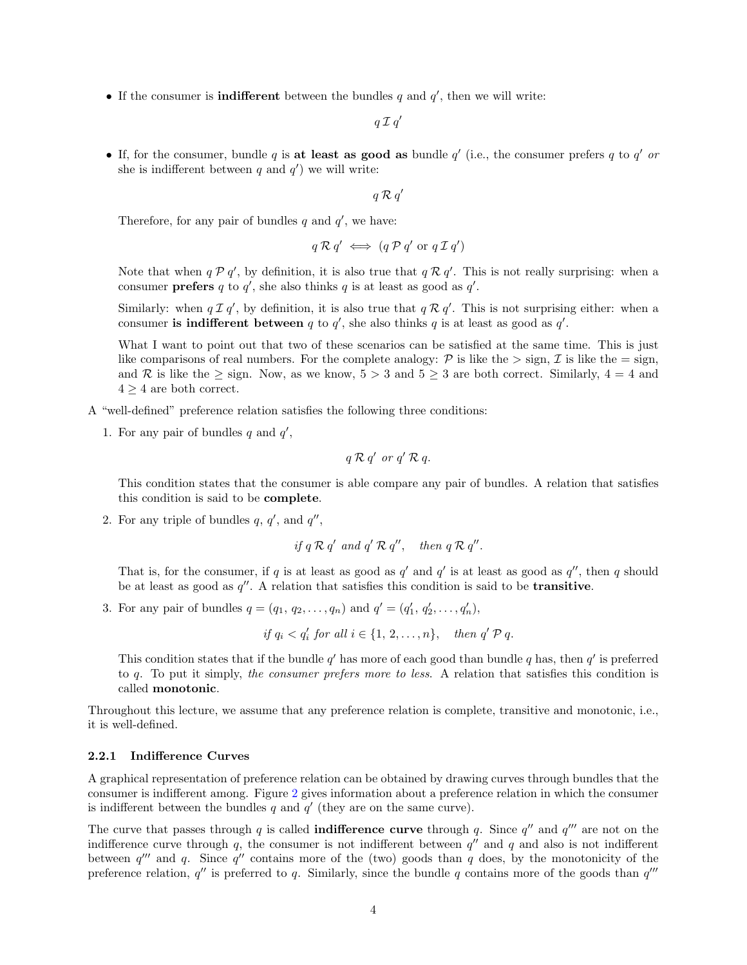• If the consumer is **indifferent** between the bundles  $q$  and  $q'$ , then we will write:

 $q\mathcal{I}q'$ 

• If, for the consumer, bundle q is at least as good as bundle  $q'$  (i.e., the consumer prefers q to  $q'$  or she is indifferent between  $q$  and  $q'$ ) we will write:

 $q \mathrel{\mathcal{R}} q'$ 

Therefore, for any pair of bundles  $q$  and  $q'$ , we have:

$$
q \mathcal{R} q' \iff (q \mathcal{P} q' \text{ or } q \mathcal{I} q')
$$

Note that when  $q \n{p} q'$ , by definition, it is also true that  $q \n{R} q'$ . This is not really surprising: when a consumer **prefers** q to  $q'$ , she also thinks q is at least as good as  $q'$ .

Similarly: when  $q \mathcal{I} q'$ , by definition, it is also true that  $q \mathcal{R} q'$ . This is not surprising either: when a consumer is indifferent between q to  $q'$ , she also thinks q is at least as good as  $q'$ .

What I want to point out that two of these scenarios can be satisfied at the same time. This is just like comparisons of real numbers. For the complete analogy:  $P$  is like the  $>$  sign,  $\mathcal I$  is like the  $=$  sign, and R is like the  $\geq$  sign. Now, as we know,  $5 > 3$  and  $5 \geq 3$  are both correct. Similarly,  $4 = 4$  and  $4 \geq 4$  are both correct.

A "well-defined" preference relation satisfies the following three conditions:

1. For any pair of bundles  $q$  and  $q'$ ,

$$
q \mathcal{R} q' \text{ or } q' \mathcal{R} q.
$$

This condition states that the consumer is able compare any pair of bundles. A relation that satisfies this condition is said to be complete.

2. For any triple of bundles  $q, q'$ , and  $q''$ ,

if 
$$
q \mathcal{R} q'
$$
 and  $q' \mathcal{R} q''$ , then  $q \mathcal{R} q''$ .

That is, for the consumer, if q is at least as good as  $q'$  and  $q'$  is at least as good as  $q''$ , then q should be at least as good as  $q''$ . A relation that satisfies this condition is said to be **transitive**.

3. For any pair of bundles  $q = (q_1, q_2, \ldots, q_n)$  and  $q' = (q'_1, q'_2, \ldots, q'_n)$ ,

if 
$$
q_i < q'_i
$$
 for all  $i \in \{1, 2, \ldots, n\}$ , then  $q' \mathcal{P} q$ .

This condition states that if the bundle  $q'$  has more of each good than bundle q has, then  $q'$  is preferred to q. To put it simply, the consumer prefers more to less. A relation that satisfies this condition is called monotonic.

Throughout this lecture, we assume that any preference relation is complete, transitive and monotonic, i.e., it is well-defined.

## <span id="page-3-0"></span>2.2.1 Indifference Curves

A graphical representation of preference relation can be obtained by drawing curves through bundles that the consumer is indifferent among. Figure [2](#page-4-0) gives information about a preference relation in which the consumer is indifferent between the bundles  $q$  and  $q'$  (they are on the same curve).

The curve that passes through q is called **indifference curve** through q. Since  $q''$  and  $q'''$  are not on the indifference curve through  $q$ , the consumer is not indifferent between  $q''$  and  $q$  and also is not indifferent between  $q''$  and q. Since  $q''$  contains more of the (two) goods than q does, by the monotonicity of the preference relation,  $q''$  is preferred to q. Similarly, since the bundle q contains more of the goods than  $q'''$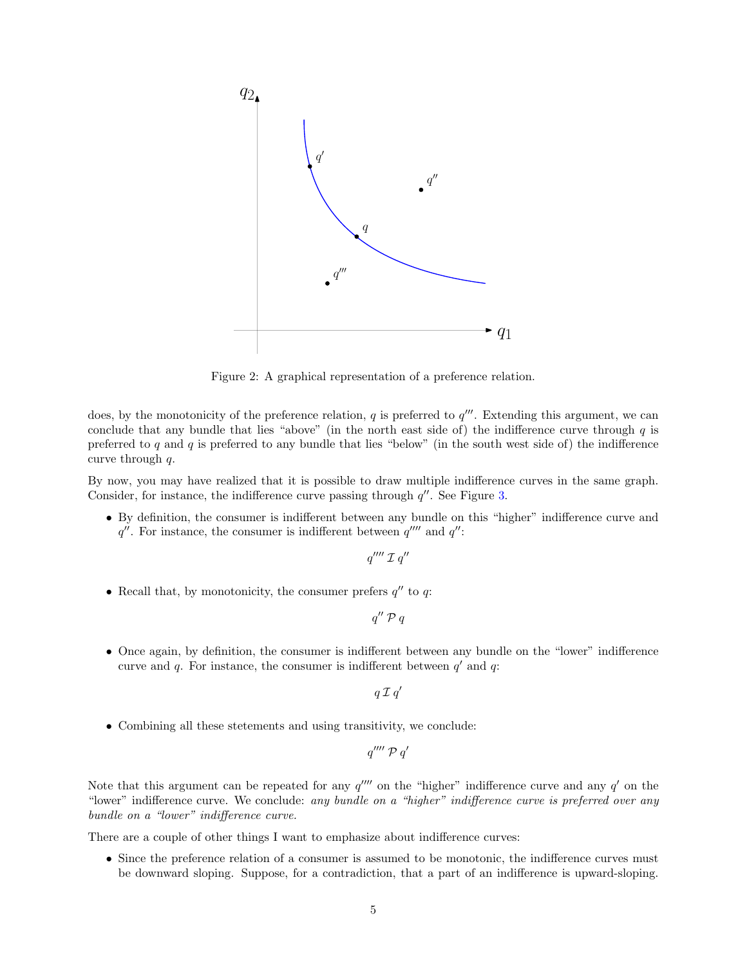

<span id="page-4-0"></span>Figure 2: A graphical representation of a preference relation.

does, by the monotonicity of the preference relation,  $q$  is preferred to  $q'''$ . Extending this argument, we can conclude that any bundle that lies "above" (in the north east side of) the indifference curve through  $q$  is preferred to q and q is preferred to any bundle that lies "below" (in the south west side of) the indifference curve through q.

By now, you may have realized that it is possible to draw multiple indifference curves in the same graph. Consider, for instance, the indifference curve passing through  $q''$ . See Figure [3.](#page-5-1)

• By definition, the consumer is indifferent between any bundle on this "higher" indifference curve and  $q''$ . For instance, the consumer is indifferent between  $q''''$  and  $q''$ :

 $q^{\prime\prime\prime\prime}$   $\mathcal{I}$   $q^{\prime\prime}$ 

• Recall that, by monotonicity, the consumer prefers  $q''$  to  $q$ :

 $q''\mathrel{\mathcal{P}} q$ 

• Once again, by definition, the consumer is indifferent between any bundle on the "lower" indifference curve and  $q$ . For instance, the consumer is indifferent between  $q'$  and  $q$ :

 $q\mathcal{I}q'$ 

• Combining all these stetements and using transitivity, we conclude:

$$
q''''\mathcal{P} q'
$$

Note that this argument can be repeated for any  $q^{\prime\prime\prime\prime}$  on the "higher" indifference curve and any  $q'$  on the "lower" indifference curve. We conclude: any bundle on a "higher" indifference curve is preferred over any bundle on a "lower" indifference curve.

There are a couple of other things I want to emphasize about indifference curves:

• Since the preference relation of a consumer is assumed to be monotonic, the indifference curves must be downward sloping. Suppose, for a contradiction, that a part of an indifference is upward-sloping.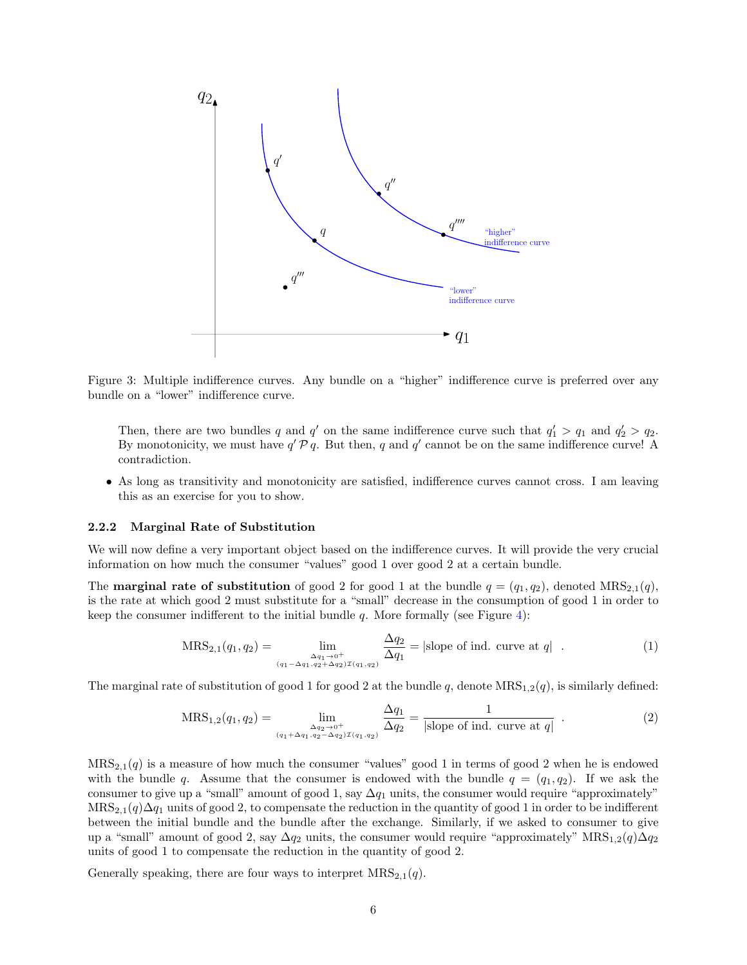

<span id="page-5-1"></span>Figure 3: Multiple indifference curves. Any bundle on a "higher" indifference curve is preferred over any bundle on a "lower" indifference curve.

Then, there are two bundles q and q' on the same indifference curve such that  $q'_1 > q_1$  and  $q'_2 > q_2$ . By monotonicity, we must have  $q' \mathcal{P} q$ . But then, q and  $q'$  cannot be on the same indifference curve! A contradiction.

• As long as transitivity and monotonicity are satisfied, indifference curves cannot cross. I am leaving this as an exercise for you to show.

#### <span id="page-5-0"></span>2.2.2 Marginal Rate of Substitution

We will now define a very important object based on the indifference curves. It will provide the very crucial information on how much the consumer "values" good 1 over good 2 at a certain bundle.

The **marginal rate of substitution** of good 2 for good 1 at the bundle  $q = (q_1, q_2)$ , denoted  $MRS_{2,1}(q)$ , is the rate at which good 2 must substitute for a "small" decrease in the consumption of good 1 in order to keep the consumer indifferent to the initial bundle  $q$ . More formally (see Figure [4\)](#page-6-1):

<span id="page-5-2"></span>
$$
MRS_{2,1}(q_1, q_2) = \lim_{\substack{\Delta q_1 \to 0^+ \\ (q_1 - \Delta q_1, q_2 + \Delta q_2) \mathcal{I}(q_1, q_2)}} \frac{\Delta q_2}{\Delta q_1} = |\text{slope of ind. curve at } q| \quad . \tag{1}
$$

The marginal rate of substitution of good 1 for good 2 at the bundle q, denote  $MRS_{1,2}(q)$ , is similarly defined:

$$
MRS_{1,2}(q_1, q_2) = \lim_{\substack{\Delta q_2 \to 0^+ \\ (q_1 + \Delta q_1, q_2 - \Delta q_2) \mathcal{I}(q_1, q_2)}} \frac{\Delta q_1}{\Delta q_2} = \frac{1}{|\text{slope of ind. curve at } q|} \quad . \tag{2}
$$

 $MRS_{2,1}(q)$  is a measure of how much the consumer "values" good 1 in terms of good 2 when he is endowed with the bundle q. Assume that the consumer is endowed with the bundle  $q = (q_1, q_2)$ . If we ask the consumer to give up a "small" amount of good 1, say  $\Delta q_1$  units, the consumer would require "approximately"  $MRS_{2,1}(q)\Delta q_1$  units of good 2, to compensate the reduction in the quantity of good 1 in order to be indifferent between the initial bundle and the bundle after the exchange. Similarly, if we asked to consumer to give up a "small" amount of good 2, say  $\Delta q_2$  units, the consumer would require "approximately" MRS<sub>1,2</sub>(q) $\Delta q_2$ units of good 1 to compensate the reduction in the quantity of good 2.

Generally speaking, there are four ways to interpret  $MRS_{2,1}(q)$ .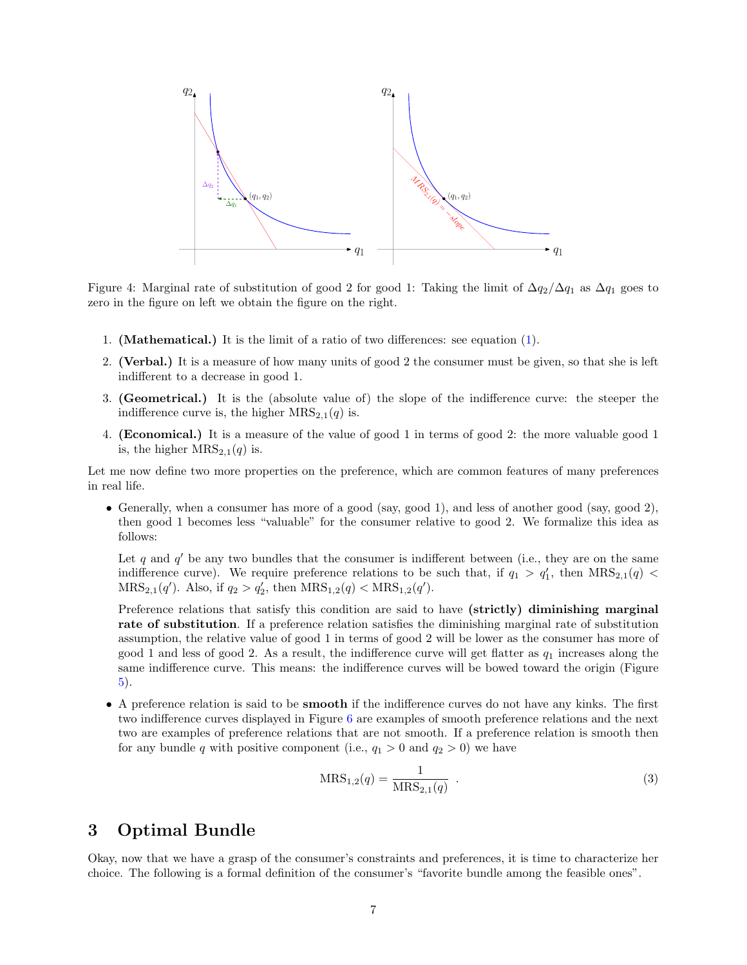

<span id="page-6-1"></span>Figure 4: Marginal rate of substitution of good 2 for good 1: Taking the limit of  $\Delta q_2/\Delta q_1$  as  $\Delta q_1$  goes to zero in the figure on left we obtain the figure on the right.

- 1. (Mathematical.) It is the limit of a ratio of two differences: see equation [\(1\)](#page-5-2).
- 2. (Verbal.) It is a measure of how many units of good 2 the consumer must be given, so that she is left indifferent to a decrease in good 1.
- 3. (Geometrical.) It is the (absolute value of) the slope of the indifference curve: the steeper the indifference curve is, the higher  $MRS_{2,1}(q)$  is.
- 4. (Economical.) It is a measure of the value of good 1 in terms of good 2: the more valuable good 1 is, the higher  $MRS_{2,1}(q)$  is.

Let me now define two more properties on the preference, which are common features of many preferences in real life.

• Generally, when a consumer has more of a good (say, good 1), and less of another good (say, good 2), then good 1 becomes less "valuable" for the consumer relative to good 2. We formalize this idea as follows:

Let q and  $q'$  be any two bundles that the consumer is indifferent between (i.e., they are on the same indifference curve). We require preference relations to be such that, if  $q_1 > q'_1$ , then  $MRS_{2,1}(q)$  $MRS_{2,1}(q')$ . Also, if  $q_2 > q'_2$ , then  $MRS_{1,2}(q) < MRS_{1,2}(q')$ .

Preference relations that satisfy this condition are said to have (strictly) diminishing marginal rate of substitution. If a preference relation satisfies the diminishing marginal rate of substitution assumption, the relative value of good 1 in terms of good 2 will be lower as the consumer has more of good 1 and less of good 2. As a result, the indifference curve will get flatter as  $q_1$  increases along the same indifference curve. This means: the indifference curves will be bowed toward the origin (Figure [5\)](#page-7-0).

• A preference relation is said to be smooth if the indifference curves do not have any kinks. The first two indifference curves displayed in Figure [6](#page-8-0) are examples of smooth preference relations and the next two are examples of preference relations that are not smooth. If a preference relation is smooth then for any bundle q with positive component (i.e.,  $q_1 > 0$  and  $q_2 > 0$ ) we have

<span id="page-6-2"></span>
$$
MRS_{1,2}(q) = \frac{1}{MRS_{2,1}(q)} .
$$
 (3)

# <span id="page-6-0"></span>3 Optimal Bundle

Okay, now that we have a grasp of the consumer's constraints and preferences, it is time to characterize her choice. The following is a formal definition of the consumer's "favorite bundle among the feasible ones".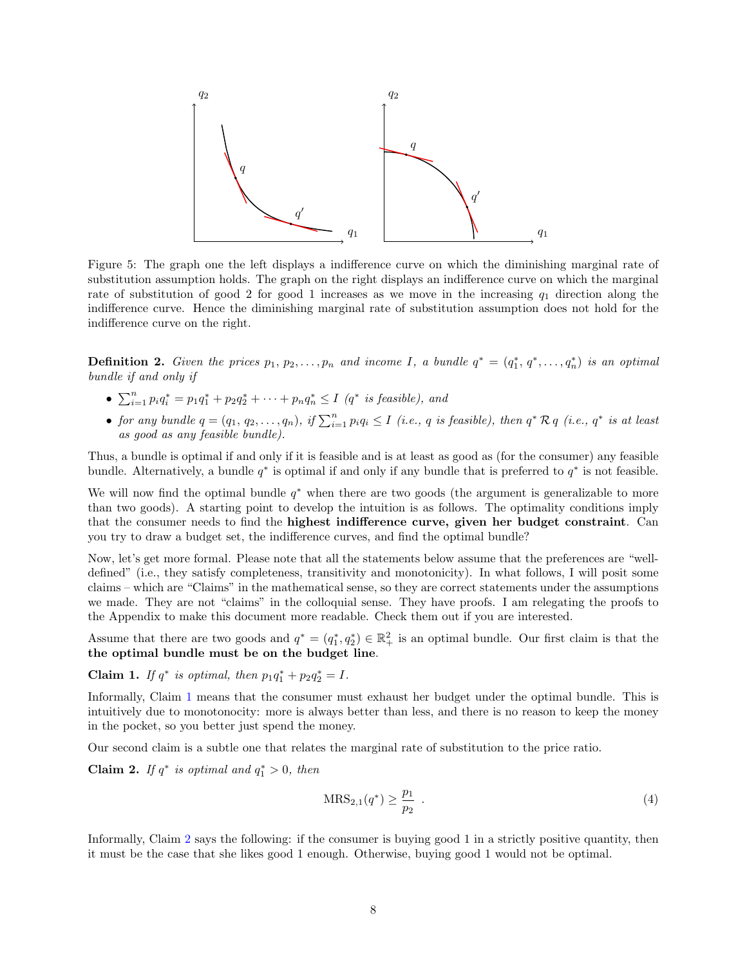

<span id="page-7-0"></span>Figure 5: The graph one the left displays a indifference curve on which the diminishing marginal rate of substitution assumption holds. The graph on the right displays an indifference curve on which the marginal rate of substitution of good 2 for good 1 increases as we move in the increasing  $q_1$  direction along the indifference curve. Hence the diminishing marginal rate of substitution assumption does not hold for the indifference curve on the right.

**Definition 2.** Given the prices  $p_1, p_2, \ldots, p_n$  and income I, a bundle  $q^* = (q_1^*, q^*, \ldots, q_n^*)$  is an optimal bundle if and only if

- $\sum_{i=1}^{n} p_i q_i^* = p_1 q_1^* + p_2 q_2^* + \cdots + p_n q_n^* \le I$  (q<sup>\*</sup> is feasible), and
- for any bundle  $q = (q_1, q_2, \ldots, q_n)$ , if  $\sum_{i=1}^n p_i q_i \le I$  (i.e., q is feasible), then  $q^* \mathcal{R} q$  (i.e.,  $q^*$  is at least as good as any feasible bundle).

Thus, a bundle is optimal if and only if it is feasible and is at least as good as (for the consumer) any feasible bundle. Alternatively, a bundle  $q^*$  is optimal if and only if any bundle that is preferred to  $q^*$  is not feasible.

We will now find the optimal bundle  $q^*$  when there are two goods (the argument is generalizable to more than two goods). A starting point to develop the intuition is as follows. The optimality conditions imply that the consumer needs to find the highest indifference curve, given her budget constraint. Can you try to draw a budget set, the indifference curves, and find the optimal bundle?

Now, let's get more formal. Please note that all the statements below assume that the preferences are "welldefined" (i.e., they satisfy completeness, transitivity and monotonicity). In what follows, I will posit some claims – which are "Claims" in the mathematical sense, so they are correct statements under the assumptions we made. They are not "claims" in the colloquial sense. They have proofs. I am relegating the proofs to the Appendix to make this document more readable. Check them out if you are interested.

Assume that there are two goods and  $q^* = (q_1^*, q_2^*) \in \mathbb{R}^2_+$  is an optimal bundle. Our first claim is that the the optimal bundle must be on the budget line.

<span id="page-7-1"></span>Claim 1. If  $q^*$  is optimal, then  $p_1q_1^* + p_2q_2^* = I$ .

Informally, Claim [1](#page-7-1) means that the consumer must exhaust her budget under the optimal bundle. This is intuitively due to monotonocity: more is always better than less, and there is no reason to keep the money in the pocket, so you better just spend the money.

Our second claim is a subtle one that relates the marginal rate of substitution to the price ratio.

<span id="page-7-2"></span>**Claim 2.** If  $q^*$  is optimal and  $q_1^* > 0$ , then

$$
MRS_{2,1}(q^*) \ge \frac{p_1}{p_2} \tag{4}
$$

Informally, Claim [2](#page-7-2) says the following: if the consumer is buying good 1 in a strictly positive quantity, then it must be the case that she likes good 1 enough. Otherwise, buying good 1 would not be optimal.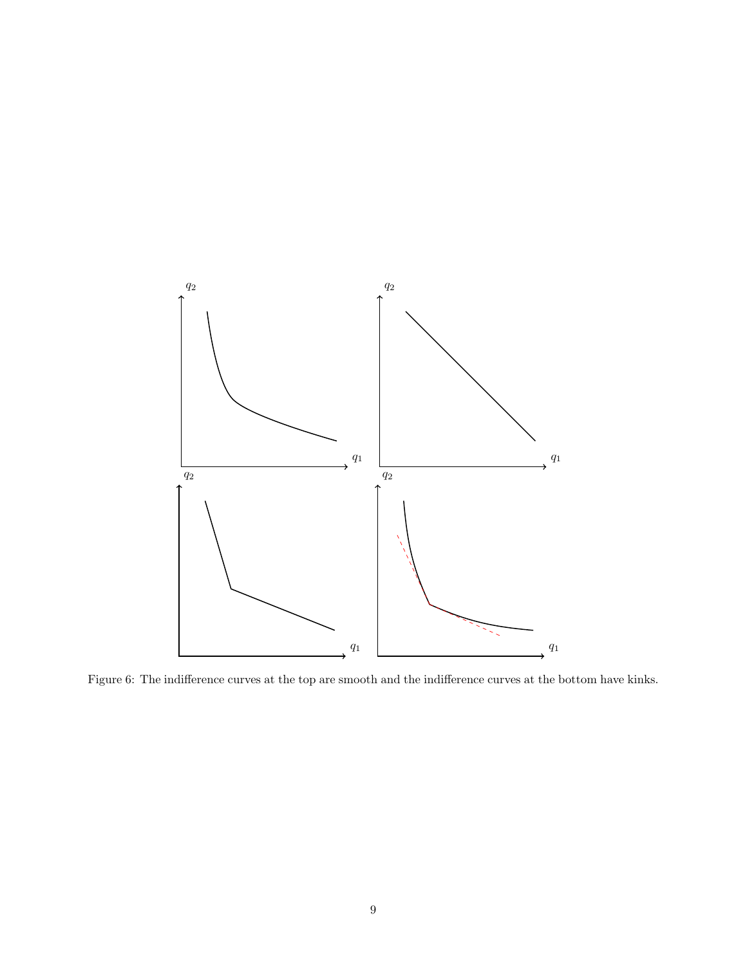

<span id="page-8-0"></span>Figure 6: The indifference curves at the top are smooth and the indifference curves at the bottom have kinks.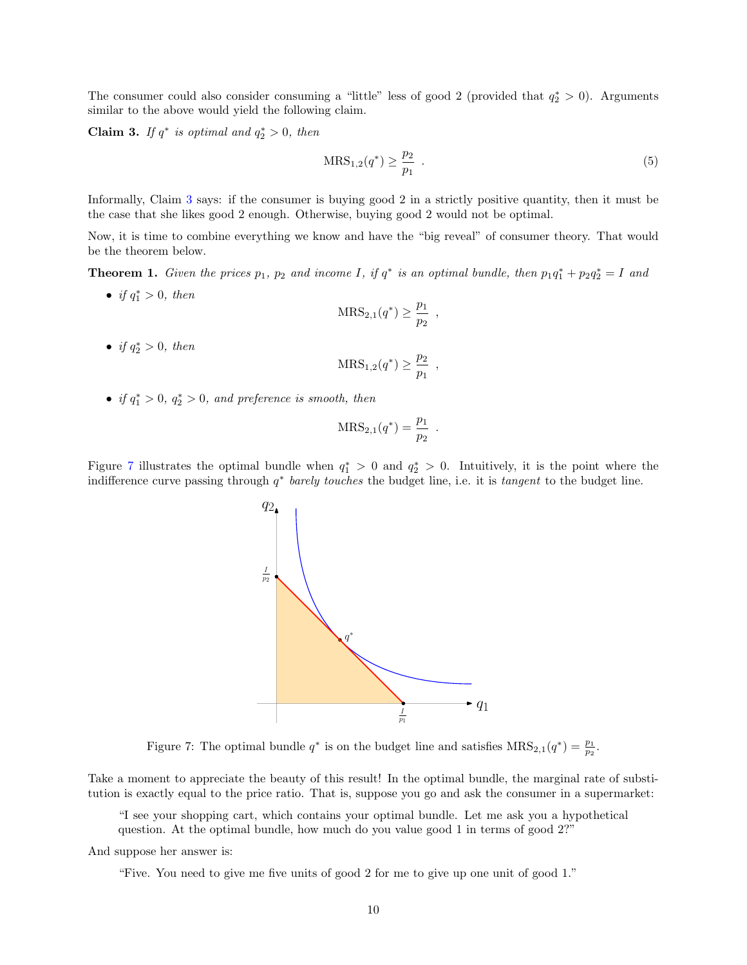The consumer could also consider consuming a "little" less of good 2 (provided that  $q_2^* > 0$ ). Arguments similar to the above would yield the following claim.

<span id="page-9-0"></span>**Claim 3.** If  $q^*$  is optimal and  $q_2^* > 0$ , then

$$
MRS_{1,2}(q^*) \ge \frac{p_2}{p_1} \tag{5}
$$

Informally, Claim [3](#page-9-0) says: if the consumer is buying good 2 in a strictly positive quantity, then it must be the case that she likes good 2 enough. Otherwise, buying good 2 would not be optimal.

Now, it is time to combine everything we know and have the "big reveal" of consumer theory. That would be the theorem below.

<span id="page-9-2"></span>**Theorem 1.** Given the prices  $p_1$ ,  $p_2$  and income I, if  $q^*$  is an optimal bundle, then  $p_1q_1^* + p_2q_2^* = I$  and

• if  $q_1^* > 0$ , then

$$
MRS_{2,1}(q^*) \ge \frac{p_1}{p_2} ,
$$

• if  $q_2^* > 0$ , then

$$
MRS_{1,2}(q^*) \geq \frac{p_2}{p_1} ,
$$

• if  $q_1^* > 0$ ,  $q_2^* > 0$ , and preference is smooth, then

$$
MRS_{2,1}(q^*) = \frac{p_1}{p_2} .
$$

Figure [7](#page-9-1) illustrates the optimal bundle when  $q_1^* > 0$  and  $q_2^* > 0$ . Intuitively, it is the point where the indifference curve passing through  $q^*$  barely touches the budget line, i.e. it is tangent to the budget line.



<span id="page-9-1"></span>Figure 7: The optimal bundle  $q^*$  is on the budget line and satisfies  $MRS_{2,1}(q^*) = \frac{p_1}{p_2}$ .

Take a moment to appreciate the beauty of this result! In the optimal bundle, the marginal rate of substitution is exactly equal to the price ratio. That is, suppose you go and ask the consumer in a supermarket:

"I see your shopping cart, which contains your optimal bundle. Let me ask you a hypothetical question. At the optimal bundle, how much do you value good 1 in terms of good 2?"

And suppose her answer is:

"Five. You need to give me five units of good 2 for me to give up one unit of good 1."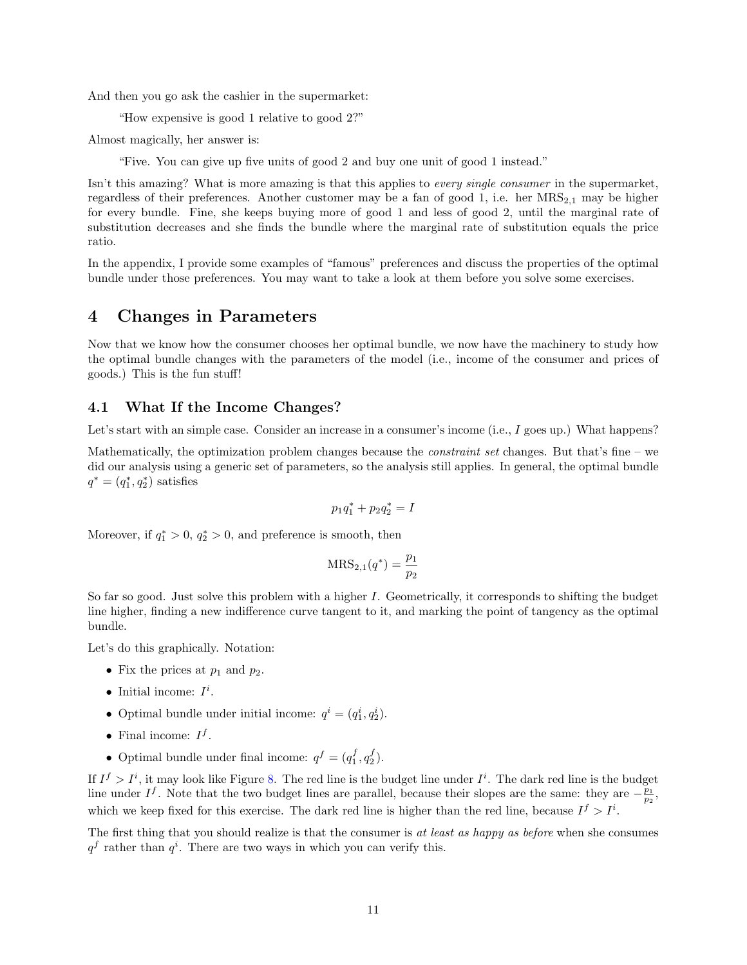And then you go ask the cashier in the supermarket:

"How expensive is good 1 relative to good 2?"

Almost magically, her answer is:

"Five. You can give up five units of good 2 and buy one unit of good 1 instead."

Isn't this amazing? What is more amazing is that this applies to *every single consumer* in the supermarket, regardless of their preferences. Another customer may be a fan of good 1, i.e. her  $MRS_{2,1}$  may be higher for every bundle. Fine, she keeps buying more of good 1 and less of good 2, until the marginal rate of substitution decreases and she finds the bundle where the marginal rate of substitution equals the price ratio.

In the appendix, I provide some examples of "famous" preferences and discuss the properties of the optimal bundle under those preferences. You may want to take a look at them before you solve some exercises.

# <span id="page-10-0"></span>4 Changes in Parameters

Now that we know how the consumer chooses her optimal bundle, we now have the machinery to study how the optimal bundle changes with the parameters of the model (i.e., income of the consumer and prices of goods.) This is the fun stuff!

## <span id="page-10-1"></span>4.1 What If the Income Changes?

Let's start with an simple case. Consider an increase in a consumer's income (i.e., I goes up.) What happens?

Mathematically, the optimization problem changes because the *constraint set* changes. But that's fine – we did our analysis using a generic set of parameters, so the analysis still applies. In general, the optimal bundle  $q^* = (q_1^*, q_2^*)$  satisfies

$$
p_1q_1^* + p_2q_2^* = I
$$

Moreover, if  $q_1^* > 0$ ,  $q_2^* > 0$ , and preference is smooth, then

$$
MRS_{2,1}(q^*) = \frac{p_1}{p_2}
$$

So far so good. Just solve this problem with a higher I. Geometrically, it corresponds to shifting the budget line higher, finding a new indifference curve tangent to it, and marking the point of tangency as the optimal bundle.

Let's do this graphically. Notation:

- Fix the prices at  $p_1$  and  $p_2$ .
- Initial income:  $I^i$ .
- Optimal bundle under initial income:  $q^i = (q_1^i, q_2^i)$ .
- Final income:  $I^f$ .
- Optimal bundle under final income:  $q^f = (q_1^f, q_2^f)$ .

If  $I^f > I^i$ , it may look like Figure [8.](#page-11-0) The red line is the budget line under  $I^i$ . The dark red line is the budget line under  $I^f$ . Note that the two budget lines are parallel, because their slopes are the same: they are  $-\frac{p_1}{p_2}$ , which we keep fixed for this exercise. The dark red line is higher than the red line, because  $I^f > I^i$ .

The first thing that you should realize is that the consumer is at least as happy as before when she consumes  $q<sup>f</sup>$  rather than  $q<sup>i</sup>$ . There are two ways in which you can verify this.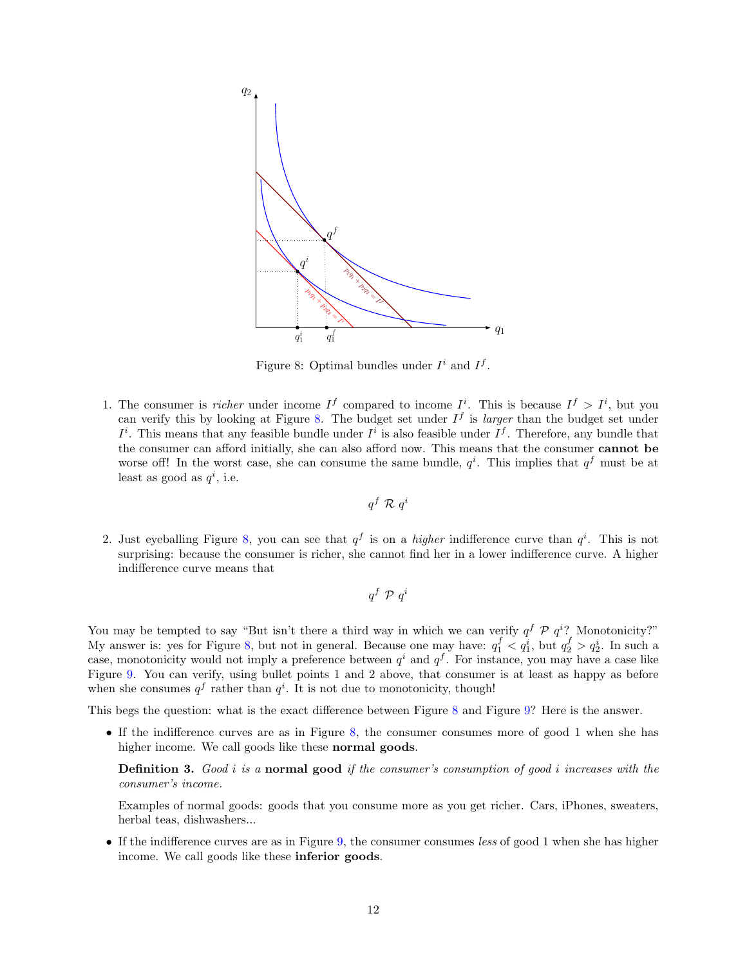

<span id="page-11-0"></span>Figure 8: Optimal bundles under  $I^i$  and  $I^f$ .

1. The consumer is *richer* under income  $I^f$  compared to income  $I^i$ . This is because  $I^f > I^i$ , but you can verify this by looking at Figure [8.](#page-11-0) The budget set under  $I<sup>f</sup>$  is *larger* than the budget set under  $I^i$ . This means that any feasible bundle under  $I^i$  is also feasible under  $I^f$ . Therefore, any bundle that the consumer can afford initially, she can also afford now. This means that the consumer cannot be worse off! In the worst case, she can consume the same bundle,  $q^i$ . This implies that  $q^f$  must be at least as good as  $q^i$ , i.e.

$$
q^f \mathrel{\mathcal{R}} q^i
$$

2. Just eyeballing Figure [8,](#page-11-0) you can see that  $q<sup>f</sup>$  is on a *higher* indifference curve than  $q<sup>i</sup>$ . This is not surprising: because the consumer is richer, she cannot find her in a lower indifference curve. A higher indifference curve means that

$$
q^f \mathrel{\mathcal{P}} q^i
$$

You may be tempted to say "But isn't there a third way in which we can verify  $q^f \mathcal{P} q^i$ ? Monotonicity?" My answer is: yes for Figure [8,](#page-11-0) but not in general. Because one may have:  $q_1^f < q_1^i$ , but  $q_2^f > q_2^i$ . In such a case, monotonicity would not imply a preference between  $q^i$  and  $q^f$ . For instance, you may have a case like Figure [9.](#page-12-1) You can verify, using bullet points 1 and 2 above, that consumer is at least as happy as before when she consumes  $q^f$  rather than  $q^i$ . It is not due to monotonicity, though!

This begs the question: what is the exact difference between Figure [8](#page-11-0) and Figure [9?](#page-12-1) Here is the answer.

• If the indifference curves are as in Figure [8,](#page-11-0) the consumer consumes more of good 1 when she has higher income. We call goods like these normal goods.

**Definition 3.** Good  $i$  is a normal good if the consumer's consumption of good  $i$  increases with the consumer's income.

Examples of normal goods: goods that you consume more as you get richer. Cars, iPhones, sweaters, herbal teas, dishwashers...

• If the indifference curves are as in Figure [9,](#page-12-1) the consumer consumes less of good 1 when she has higher income. We call goods like these inferior goods.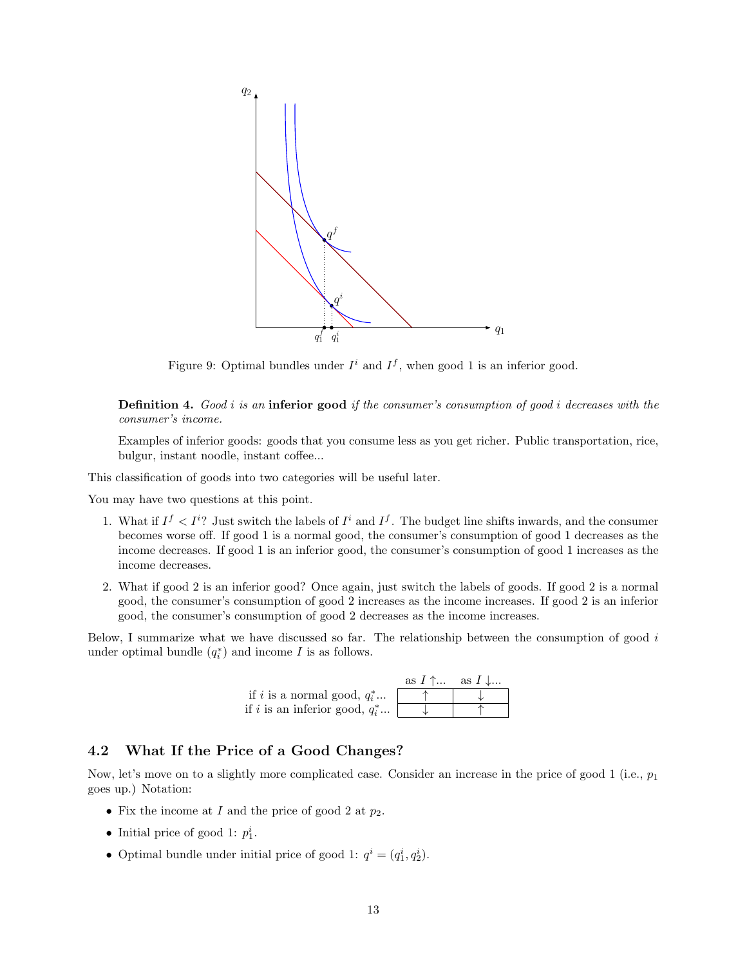

<span id="page-12-1"></span>Figure 9: Optimal bundles under  $I^i$  and  $I^f$ , when good 1 is an inferior good.

**Definition 4.** Good i is an inferior good if the consumer's consumption of good i decreases with the consumer's income.

Examples of inferior goods: goods that you consume less as you get richer. Public transportation, rice, bulgur, instant noodle, instant coffee...

This classification of goods into two categories will be useful later.

You may have two questions at this point.

- 1. What if  $I^f I^i$  Just switch the labels of  $I^i$  and  $I^f$ . The budget line shifts inwards, and the consumer becomes worse off. If good 1 is a normal good, the consumer's consumption of good 1 decreases as the income decreases. If good 1 is an inferior good, the consumer's consumption of good 1 increases as the income decreases.
- 2. What if good 2 is an inferior good? Once again, just switch the labels of goods. If good 2 is a normal good, the consumer's consumption of good 2 increases as the income increases. If good 2 is an inferior good, the consumer's consumption of good 2 decreases as the income increases.

Below, I summarize what we have discussed so far. The relationship between the consumption of good i under optimal bundle  $(q_i^*)$  and income I is as follows.



## <span id="page-12-0"></span>4.2 What If the Price of a Good Changes?

Now, let's move on to a slightly more complicated case. Consider an increase in the price of good 1 (i.e.,  $p_1$ ) goes up.) Notation:

- Fix the income at I and the price of good 2 at  $p_2$ .
- Initial price of good 1:  $p_1^i$ .
- Optimal bundle under initial price of good 1:  $q^i = (q_1^i, q_2^i)$ .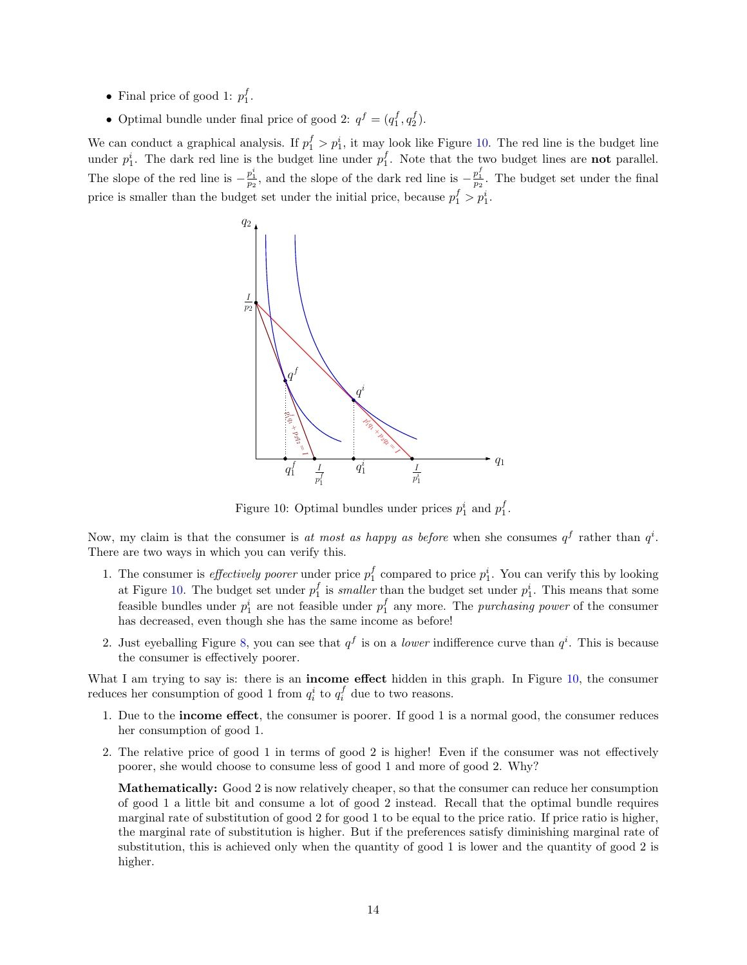- Final price of good 1:  $p_1^f$ .
- Optimal bundle under final price of good 2:  $q^f = (q_1^f, q_2^f)$ .

We can conduct a graphical analysis. If  $p_1^f > p_1^i$ , it may look like Figure [10.](#page-13-0) The red line is the budget line under  $p_1^i$ . The dark red line is the budget line under  $p_1^f$ . Note that the two budget lines are **not** parallel. The slope of the red line is  $-\frac{p_1^i}{p_2}$ , and the slope of the dark red line is  $-\frac{p_1^f}{p_2}$ . The budget set under the final price is smaller than the budget set under the initial price, because  $p_1^f > p_1^i$ .



<span id="page-13-0"></span>Figure 10: Optimal bundles under prices  $p_1^i$  and  $p_1^f$ .

Now, my claim is that the consumer is at most as happy as before when she consumes  $q<sup>f</sup>$  rather than  $q<sup>i</sup>$ . There are two ways in which you can verify this.

- 1. The consumer is *effectively poorer* under price  $p_1^f$  compared to price  $p_1^i$ . You can verify this by looking at Figure [10.](#page-13-0) The budget set under  $p_1^f$  is *smaller* than the budget set under  $p_1^i$ . This means that some feasible bundles under  $p_1^i$  are not feasible under  $p_1^f$  any more. The *purchasing power* of the consumer has decreased, even though she has the same income as before!
- 2. Just eyeballing Figure [8,](#page-11-0) you can see that  $q^f$  is on a *lower* indifference curve than  $q^i$ . This is because the consumer is effectively poorer.

What I am trying to say is: there is an **income effect** hidden in this graph. In Figure [10,](#page-13-0) the consumer reduces her consumption of good 1 from  $q_i^i$  to  $q_i^f$  due to two reasons.

- 1. Due to the income effect, the consumer is poorer. If good 1 is a normal good, the consumer reduces her consumption of good 1.
- 2. The relative price of good 1 in terms of good 2 is higher! Even if the consumer was not effectively poorer, she would choose to consume less of good 1 and more of good 2. Why?

Mathematically: Good 2 is now relatively cheaper, so that the consumer can reduce her consumption of good 1 a little bit and consume a lot of good 2 instead. Recall that the optimal bundle requires marginal rate of substitution of good 2 for good 1 to be equal to the price ratio. If price ratio is higher, the marginal rate of substitution is higher. But if the preferences satisfy diminishing marginal rate of substitution, this is achieved only when the quantity of good 1 is lower and the quantity of good 2 is higher.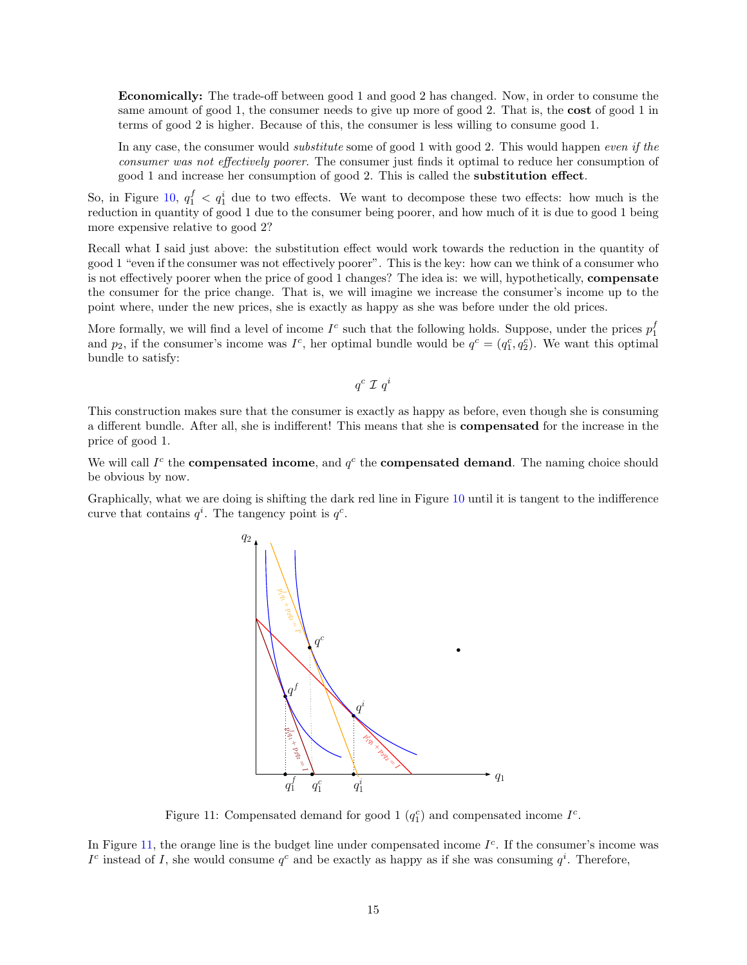Economically: The trade-off between good 1 and good 2 has changed. Now, in order to consume the same amount of good 1, the consumer needs to give up more of good 2. That is, the **cost** of good 1 in terms of good 2 is higher. Because of this, the consumer is less willing to consume good 1.

In any case, the consumer would *substitute* some of good 1 with good 2. This would happen even if the consumer was not effectively poorer. The consumer just finds it optimal to reduce her consumption of good 1 and increase her consumption of good 2. This is called the substitution effect.

So, in Figure [10,](#page-13-0)  $q_1^f$   $\langle q_1^i$  due to two effects. We want to decompose these two effects: how much is the reduction in quantity of good 1 due to the consumer being poorer, and how much of it is due to good 1 being more expensive relative to good 2?

Recall what I said just above: the substitution effect would work towards the reduction in the quantity of good 1 "even if the consumer was not effectively poorer". This is the key: how can we think of a consumer who is not effectively poorer when the price of good 1 changes? The idea is: we will, hypothetically, compensate the consumer for the price change. That is, we will imagine we increase the consumer's income up to the point where, under the new prices, she is exactly as happy as she was before under the old prices.

More formally, we will find a level of income  $I^c$  such that the following holds. Suppose, under the prices  $p_1^f$ and  $p_2$ , if the consumer's income was  $I^c$ , her optimal bundle would be  $q^c = (q_1^c, q_2^c)$ . We want this optimal bundle to satisfy:

 $q^c \mathrel{\mathcal{I}} q^i$ 

This construction makes sure that the consumer is exactly as happy as before, even though she is consuming a different bundle. After all, she is indifferent! This means that she is compensated for the increase in the price of good 1.

We will call  $I^c$  the **compensated income**, and  $q^c$  the **compensated demand**. The naming choice should be obvious by now.

Graphically, what we are doing is shifting the dark red line in Figure [10](#page-13-0) until it is tangent to the indifference curve that contains  $q^i$ . The tangency point is  $q^c$ .



<span id="page-14-0"></span>Figure 11: Compensated demand for good 1  $(q_1^c)$  and compensated income  $I^c$ .

In Figure [11,](#page-14-0) the orange line is the budget line under compensated income  $I<sup>c</sup>$ . If the consumer's income was  $I<sup>c</sup>$  instead of I, she would consume  $q<sup>c</sup>$  and be exactly as happy as if she was consuming  $q<sup>i</sup>$ . Therefore,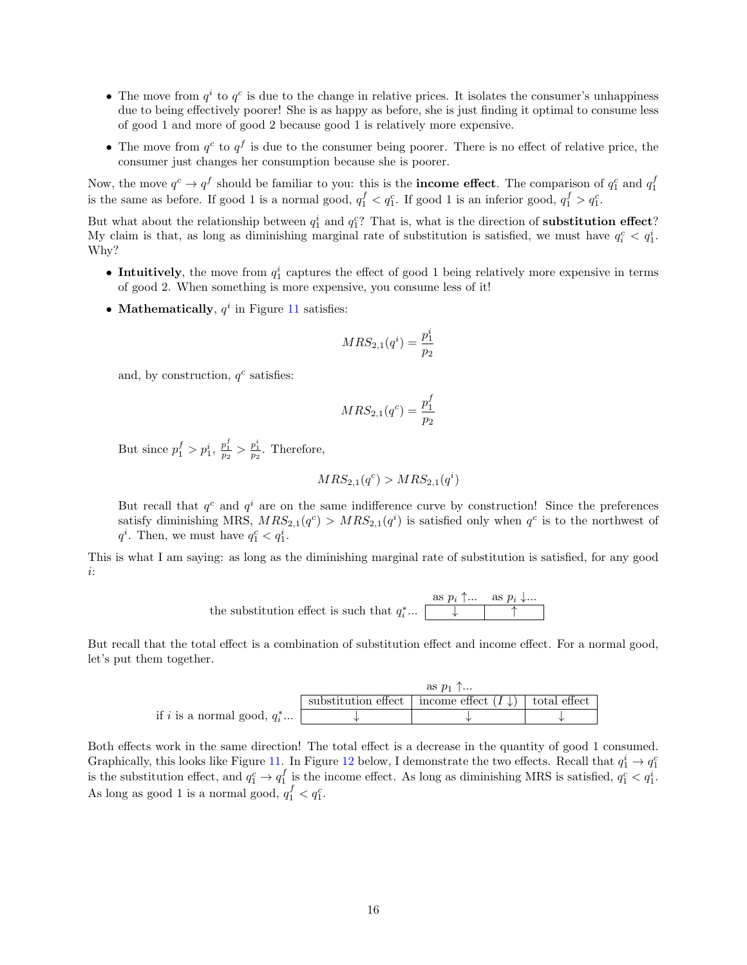- The move from  $q^i$  to  $q^c$  is due to the change in relative prices. It isolates the consumer's unhappiness due to being effectively poorer! She is as happy as before, she is just finding it optimal to consume less of good 1 and more of good 2 because good 1 is relatively more expensive.
- The move from  $q^c$  to  $q^f$  is due to the consumer being poorer. There is no effect of relative price, the consumer just changes her consumption because she is poorer.

Now, the move  $q^c \to q^f$  should be familiar to you: this is the **income effect**. The comparison of  $q_1^c$  and  $q_1^f$ is the same as before. If good 1 is a normal good,  $q_1^f < q_1^c$ . If good 1 is an inferior good,  $q_1^f > q_1^c$ .

But what about the relationship between  $q_1^i$  and  $q_1^c$ ? That is, what is the direction of **substitution effect**? My claim is that, as long as diminishing marginal rate of substitution is satisfied, we must have  $q_i^c < q_1^i$ . Why?

- Intuitively, the move from  $q_1^i$  captures the effect of good 1 being relatively more expensive in terms of good 2. When something is more expensive, you consume less of it!
- Mathematically,  $q^i$  in Figure [11](#page-14-0) satisfies:

$$
MRS_{2,1}(q^{i}) = \frac{p_{1}^{i}}{p_{2}}
$$

and, by construction,  $q^c$  satisfies:

$$
MRS_{2,1}(q^c) = \frac{p_1^f}{p_2}
$$

But since  $p_1^f > p_1^i$ ,  $\frac{p_1^f}{p_2} > \frac{p_1^i}{p_2}$ . Therefore,

$$
MRS_{2,1}(q^c) > MRS_{2,1}(q^i)
$$

But recall that  $q^c$  and  $q^i$  are on the same indifference curve by construction! Since the preferences satisfy diminishing MRS,  $MRS_{2,1}(q^c) > MRS_{2,1}(q^i)$  is satisfied only when  $q^c$  is to the northwest of  $q^i$ . Then, we must have  $q_1^c < q_1^i$ .

This is what I am saying: as long as the diminishing marginal rate of substitution is satisfied, for any good i:

the substitution effect is such that 
$$
q_i^*
$$
...  $\overline{\qquad \qquad }$   $\overline{\qquad \qquad }$   $\overline{\qquad \qquad }$   $\overline{\qquad \qquad }$   $\overline{\qquad \qquad }$   $\overline{\qquad \qquad }$   $\overline{\qquad \qquad }$   $\overline{\qquad \qquad }$ 

But recall that the total effect is a combination of substitution effect and income effect. For a normal good, let's put them together.

|                                      | as $p_1$ $\uparrow$ |                                                                     |  |  |
|--------------------------------------|---------------------|---------------------------------------------------------------------|--|--|
|                                      |                     | substitution effect   income effect $(I \downarrow)$   total effect |  |  |
| if i is a normal good, $q_i^* \dots$ |                     |                                                                     |  |  |

Both effects work in the same direction! The total effect is a decrease in the quantity of good 1 consumed. Graphically, this looks like Figure [11.](#page-14-0) In Figure [12](#page-16-0) below, I demonstrate the two effects. Recall that  $q_1^i \to q_1^c$ is the substitution effect, and  $q_1^c \to q_1^f$  is the income effect. As long as diminishing MRS is satisfied,  $q_1^c < q_1^i$ . As long as good 1 is a normal good,  $q_1^f < q_1^c$ .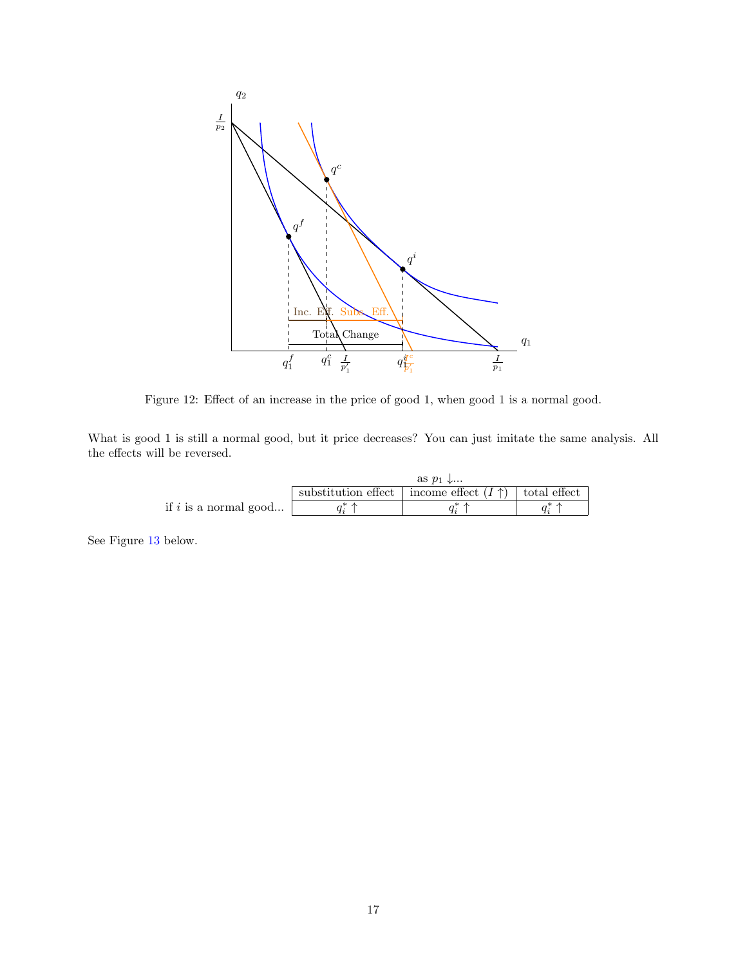

<span id="page-16-0"></span>Figure 12: Effect of an increase in the price of good 1, when good 1 is a normal good.

What is good 1 is still a normal good, but it price decreases? You can just imitate the same analysis. All the effects will be reversed.

|                         | as $p_1$ |                                                                   |  |  |
|-------------------------|----------|-------------------------------------------------------------------|--|--|
|                         |          | substitution effect   income effect $(I \uparrow)$   total effect |  |  |
| if $i$ is a normal good |          |                                                                   |  |  |

See Figure [13](#page-17-0) below.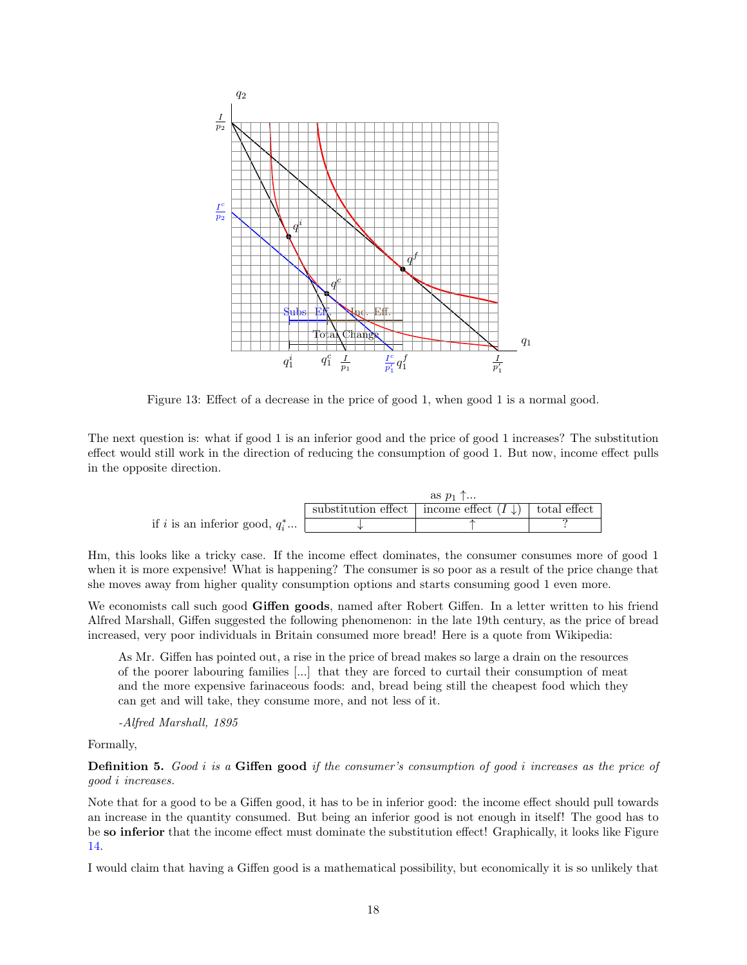

<span id="page-17-0"></span>Figure 13: Effect of a decrease in the price of good 1, when good 1 is a normal good.

The next question is: what if good 1 is an inferior good and the price of good 1 increases? The substitution effect would still work in the direction of reducing the consumption of good 1. But now, income effect pulls in the opposite direction.

|                                   | as $p_1$ $\uparrow$ |                                                                     |  |
|-----------------------------------|---------------------|---------------------------------------------------------------------|--|
|                                   |                     | substitution effect   income effect $(I \downarrow)$   total effect |  |
| if i is an inferior good, $q_i^*$ |                     |                                                                     |  |

Hm, this looks like a tricky case. If the income effect dominates, the consumer consumes more of good 1 when it is more expensive! What is happening? The consumer is so poor as a result of the price change that she moves away from higher quality consumption options and starts consuming good 1 even more.

We economists call such good Giffen goods, named after Robert Giffen. In a letter written to his friend Alfred Marshall, Giffen suggested the following phenomenon: in the late 19th century, as the price of bread increased, very poor individuals in Britain consumed more bread! Here is a quote from Wikipedia:

As Mr. Giffen has pointed out, a rise in the price of bread makes so large a drain on the resources of the poorer labouring families [...] that they are forced to curtail their consumption of meat and the more expensive farinaceous foods: and, bread being still the cheapest food which they can get and will take, they consume more, and not less of it.

-Alfred Marshall, 1895

Formally,

**Definition 5.** Good i is a Giffen good if the consumer's consumption of good i increases as the price of good i increases.

Note that for a good to be a Giffen good, it has to be in inferior good: the income effect should pull towards an increase in the quantity consumed. But being an inferior good is not enough in itself! The good has to be so inferior that the income effect must dominate the substitution effect! Graphically, it looks like Figure [14.](#page-18-0)

I would claim that having a Giffen good is a mathematical possibility, but economically it is so unlikely that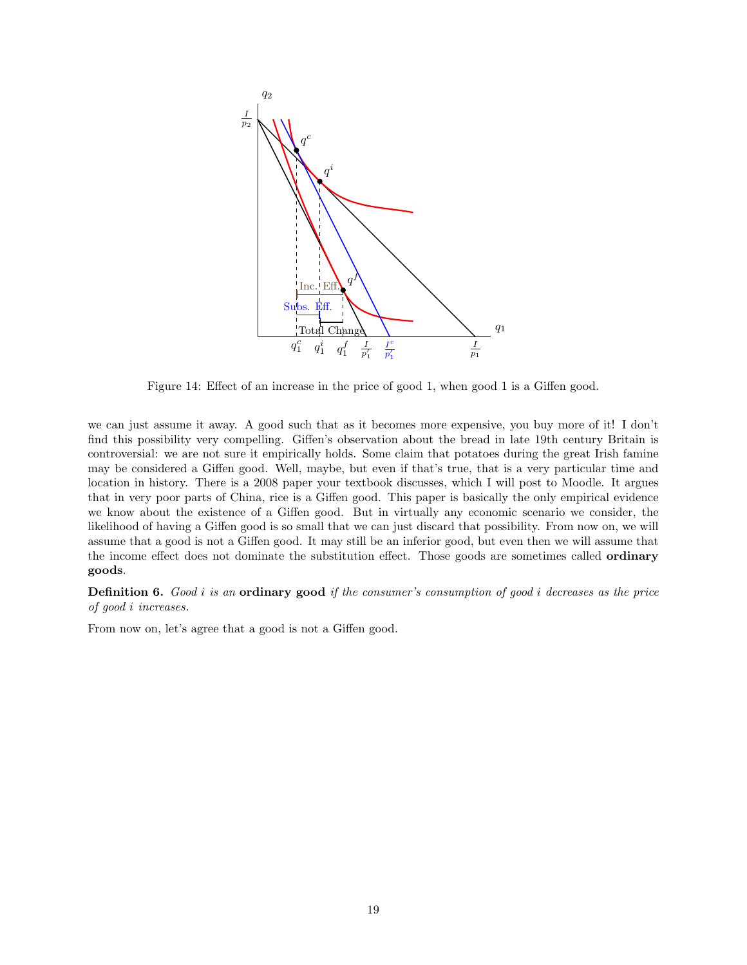

<span id="page-18-0"></span>Figure 14: Effect of an increase in the price of good 1, when good 1 is a Giffen good.

we can just assume it away. A good such that as it becomes more expensive, you buy more of it! I don't find this possibility very compelling. Giffen's observation about the bread in late 19th century Britain is controversial: we are not sure it empirically holds. Some claim that potatoes during the great Irish famine may be considered a Giffen good. Well, maybe, but even if that's true, that is a very particular time and location in history. There is a 2008 paper your textbook discusses, which I will post to Moodle. It argues that in very poor parts of China, rice is a Giffen good. This paper is basically the only empirical evidence we know about the existence of a Giffen good. But in virtually any economic scenario we consider, the likelihood of having a Giffen good is so small that we can just discard that possibility. From now on, we will assume that a good is not a Giffen good. It may still be an inferior good, but even then we will assume that the income effect does not dominate the substitution effect. Those goods are sometimes called ordinary goods.

**Definition 6.** Good i is an **ordinary good** if the consumer's consumption of good i decreases as the price of good i increases.

From now on, let's agree that a good is not a Giffen good.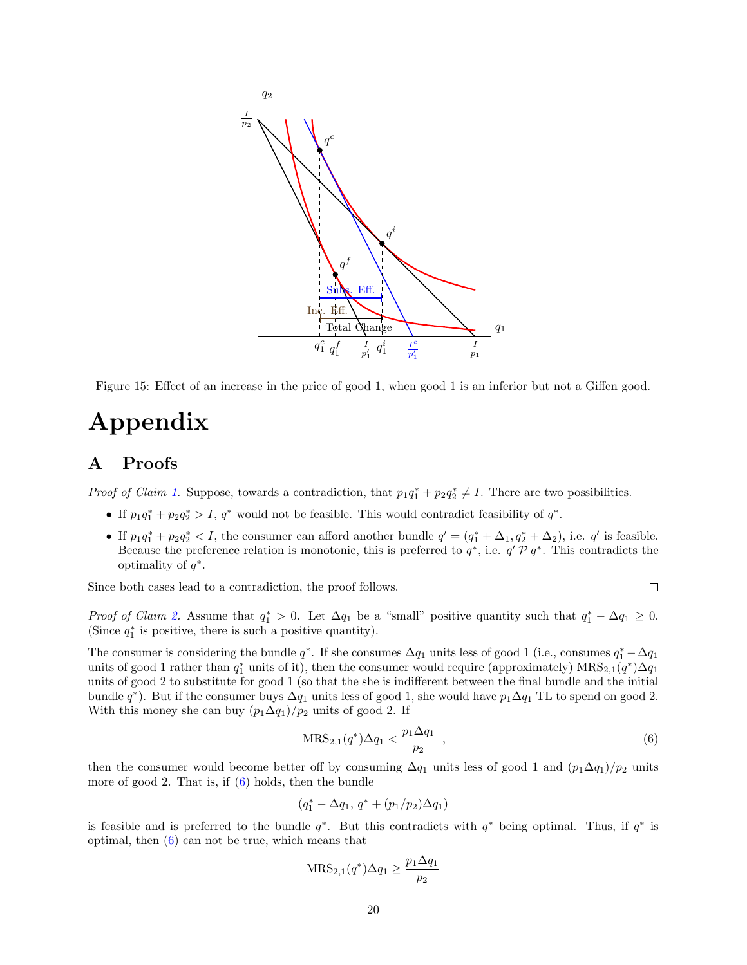

Figure 15: Effect of an increase in the price of good 1, when good 1 is an inferior but not a Giffen good.

# Appendix

## <span id="page-19-0"></span>A Proofs

*Proof of Claim [1.](#page-7-1)* Suppose, towards a contradiction, that  $p_1q_1^* + p_2q_2^* \neq I$ . There are two possibilities.

- If  $p_1q_1^* + p_2q_2^* > I$ ,  $q^*$  would not be feasible. This would contradict feasibility of  $q^*$ .
- If  $p_1q_1^* + p_2q_2^* < I$ , the consumer can afford another bundle  $q' = (q_1^* + \Delta_1, q_2^* + \Delta_2)$ , i.e. q' is feasible. Because the preference relation is monotonic, this is preferred to  $q^*$ , i.e.  $q' \mathcal{P} q^*$ . This contradicts the optimality of  $q^*$ .

Since both cases lead to a contradiction, the proof follows.

$$
\Box
$$

Proof of Claim [2.](#page-7-2) Assume that  $q_1^* > 0$ . Let  $\Delta q_1$  be a "small" positive quantity such that  $q_1^* - \Delta q_1 \geq 0$ . (Since  $q_1^*$  is positive, there is such a positive quantity).

The consumer is considering the bundle  $q^*$ . If she consumes  $\Delta q_1$  units less of good 1 (i.e., consumes  $q_1^* - \Delta q_1$ units of good 1 rather than  $q_1^*$  units of it), then the consumer would require (approximately)  $\text{MRS}_{2,1}(q^*)\Delta q_1$ units of good 2 to substitute for good 1 (so that the she is indifferent between the final bundle and the initial bundle  $q^*$ ). But if the consumer buys  $\Delta q_1$  units less of good 1, she would have  $p_1\Delta q_1$  TL to spend on good 2. With this money she can buy  $(p_1\Delta q_1)/p_2$  units of good 2. If

<span id="page-19-1"></span>
$$
MRS_{2,1}(q^*)\Delta q_1 < \frac{p_1 \Delta q_1}{p_2} \tag{6}
$$

then the consumer would become better off by consuming  $\Delta q_1$  units less of good 1 and  $(p_1\Delta q_1)/p_2$  units more of good 2. That is, if [\(6\)](#page-19-1) holds, then the bundle

$$
(q_1^* - \Delta q_1, q^* + (p_1/p_2)\Delta q_1)
$$

is feasible and is preferred to the bundle  $q^*$ . But this contradicts with  $q^*$  being optimal. Thus, if  $q^*$  is optimal, then [\(6\)](#page-19-1) can not be true, which means that

$$
MRS_{2,1}(q^*)\Delta q_1 \ge \frac{p_1 \Delta q_1}{p_2}
$$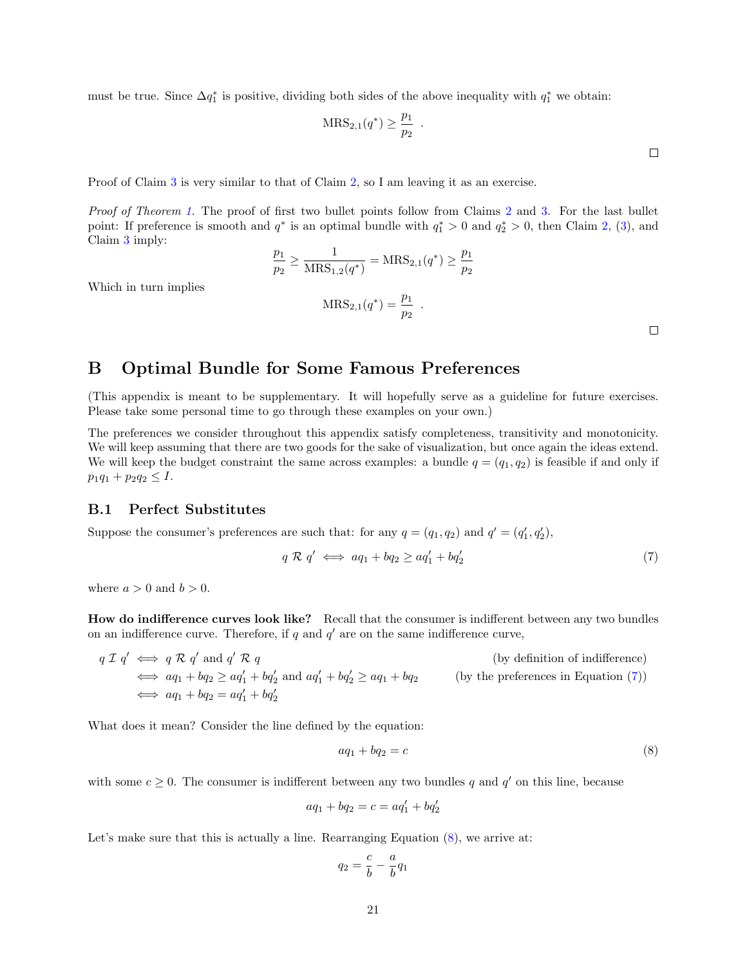must be true. Since  $\Delta q_1^*$  is positive, dividing both sides of the above inequality with  $q_1^*$  we obtain:

$$
MRS_{2,1}(q^*) \geq \frac{p_1}{p_2} .
$$

Proof of Claim [3](#page-9-0) is very similar to that of Claim [2,](#page-7-2) so I am leaving it as an exercise.

Proof of Theorem [1.](#page-9-2) The proof of first two bullet points follow from Claims [2](#page-7-2) and [3.](#page-9-0) For the last bullet point: If preference is smooth and  $q^*$  is an optimal bundle with  $q_1^* > 0$  and  $q_2^* > 0$ , then Claim [2,](#page-7-2) [\(3\)](#page-6-2), and Claim [3](#page-9-0) imply:

$$
\frac{p_1}{p_2} \ge \frac{1}{\text{MRS}_{1,2}(q^*)} = \text{MRS}_{2,1}(q^*) \ge \frac{p_1}{p_2}
$$

$$
\text{MRS}_{2,1}(q^*) = \frac{p_1}{p_2} .
$$

<span id="page-20-2"></span> $\Box$ 

# <span id="page-20-0"></span>B Optimal Bundle for Some Famous Preferences

(This appendix is meant to be supplementary. It will hopefully serve as a guideline for future exercises. Please take some personal time to go through these examples on your own.)

The preferences we consider throughout this appendix satisfy completeness, transitivity and monotonicity. We will keep assuming that there are two goods for the sake of visualization, but once again the ideas extend. We will keep the budget constraint the same across examples: a bundle  $q = (q_1, q_2)$  is feasible if and only if  $p_1q_1 + p_2q_2 \leq I.$ 

## <span id="page-20-1"></span>B.1 Perfect Substitutes

Suppose the consumer's preferences are such that: for any  $q = (q_1, q_2)$  and  $q' = (q'_1, q'_2)$ ,

$$
q \mathcal{R} q' \iff aq_1 + bq_2 \ge aq'_1 + bq'_2 \tag{7}
$$

where  $a > 0$  and  $b > 0$ .

Which in turn implies

How do indifference curves look like? Recall that the consumer is indifferent between any two bundles on an indifference curve. Therefore, if  $q$  and  $q'$  are on the same indifference curve,

 $q \mathrel{\mathcal{I}} q' \iff q \mathrel{\mathcal{R}} q'$  and  $q$ (by definition of indifference)  $\Leftrightarrow aq_1 + bq_2 \ge aq'_1 + bq'_2$  and  $aq'_1 + bq'_2$  $\text{(by the preferences in Equation (7))}$  $\text{(by the preferences in Equation (7))}$  $\text{(by the preferences in Equation (7))}$  $\Leftrightarrow aq_1 + bq_2 = aq'_1 + bq'_2$ 

What does it mean? Consider the line defined by the equation:

<span id="page-20-3"></span>
$$
aq_1 + bq_2 = c \tag{8}
$$

with some  $c \geq 0$ . The consumer is indifferent between any two bundles q and q' on this line, because

$$
aq_1 + bq_2 = c = aq'_1 + bq'_2
$$

Let's make sure that this is actually a line. Rearranging Equation  $(8)$ , we arrive at:

$$
q_2 = \frac{c}{b} - \frac{a}{b}q_1
$$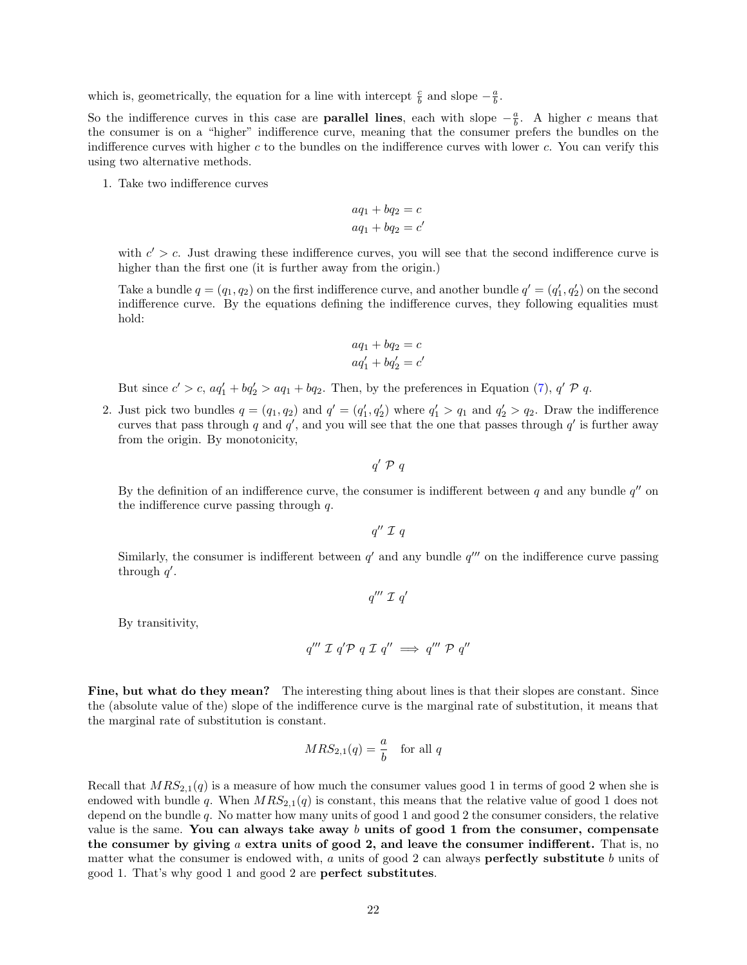which is, geometrically, the equation for a line with intercept  $\frac{c}{b}$  and slope  $-\frac{a}{b}$ .

So the indifference curves in this case are **parallel lines**, each with slope  $-\frac{a}{b}$ . A higher c means that the consumer is on a "higher" indifference curve, meaning that the consumer prefers the bundles on the indifference curves with higher  $c$  to the bundles on the indifference curves with lower  $c$ . You can verify this using two alternative methods.

1. Take two indifference curves

$$
aq_1 + bq_2 = c
$$
  

$$
aq_1 + bq_2 = c'
$$

with  $c' > c$ . Just drawing these indifference curves, you will see that the second indifference curve is higher than the first one (it is further away from the origin.)

Take a bundle  $q = (q_1, q_2)$  on the first indifference curve, and another bundle  $q' = (q'_1, q'_2)$  on the second indifference curve. By the equations defining the indifference curves, they following equalities must hold:

$$
aq_1 + bq_2 = c
$$
  

$$
aq'_1 + bq'_2 = c'
$$

But since  $c' > c$ ,  $aq'_1 + bq'_2 > aq_1 + bq_2$ . Then, by the preferences in Equation [\(7\)](#page-20-2),  $q' \mathcal{P} q$ .

2. Just pick two bundles  $q = (q_1, q_2)$  and  $q' = (q'_1, q'_2)$  where  $q'_1 > q_1$  and  $q'_2 > q_2$ . Draw the indifference curves that pass through q and  $q'$ , and you will see that the one that passes through  $q'$  is further away from the origin. By monotonicity,

 $q' \nvert \mathcal{P} \nvert q$ 

By the definition of an indifference curve, the consumer is indifferent between q and any bundle  $q''$  on the indifference curve passing through  $q$ .

 $q''\mathrel{\mathcal{I}} q$ 

Similarly, the consumer is indifferent between  $q'$  and any bundle  $q'''$  on the indifference curve passing through  $q'$ .

$$
q''' \mathrel{\mathcal{I}} q'
$$

By transitivity,

$$
q''' \mathcal{I} q' \mathcal{P} q \mathcal{I} q'' \implies q''' \mathcal{P} q''
$$

Fine, but what do they mean? The interesting thing about lines is that their slopes are constant. Since the (absolute value of the) slope of the indifference curve is the marginal rate of substitution, it means that the marginal rate of substitution is constant.

$$
MRS_{2,1}(q) = \frac{a}{b} \quad \text{for all } q
$$

Recall that  $MRS_{2,1}(q)$  is a measure of how much the consumer values good 1 in terms of good 2 when she is endowed with bundle q. When  $MRS_{2,1}(q)$  is constant, this means that the relative value of good 1 does not depend on the bundle q. No matter how many units of good 1 and good 2 the consumer considers, the relative value is the same. You can always take away b units of good 1 from the consumer, compensate the consumer by giving  $a$  extra units of good 2, and leave the consumer indifferent. That is, no matter what the consumer is endowed with,  $a$  units of good 2 can always **perfectly substitute**  $b$  units of good 1. That's why good 1 and good 2 are perfect substitutes.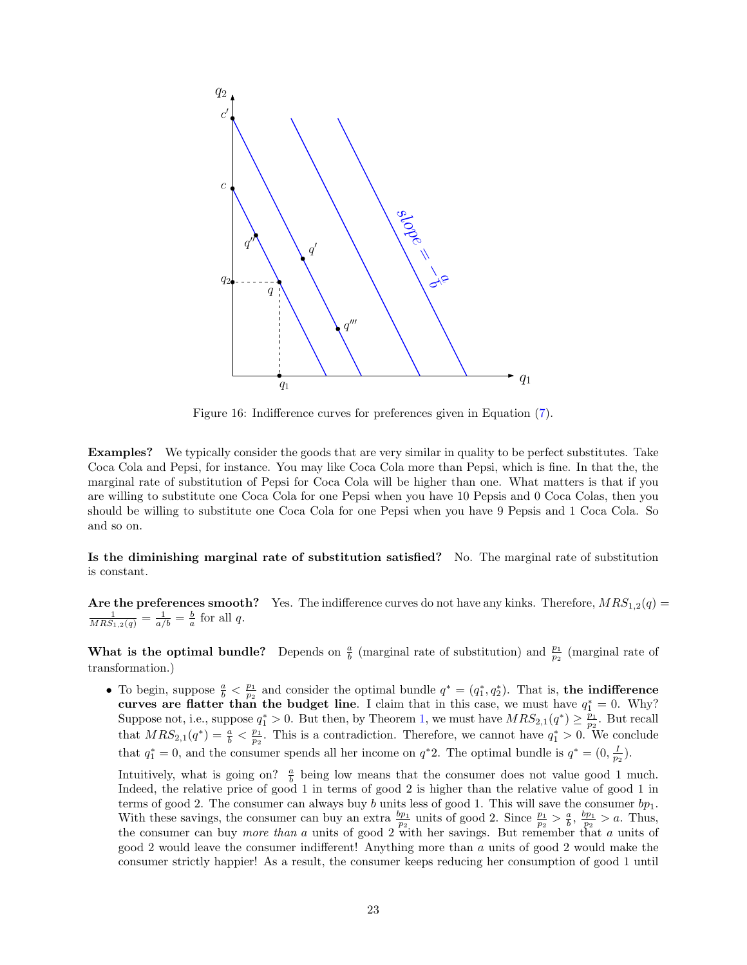

Figure 16: Indifference curves for preferences given in Equation [\(7\)](#page-20-2).

Examples? We typically consider the goods that are very similar in quality to be perfect substitutes. Take Coca Cola and Pepsi, for instance. You may like Coca Cola more than Pepsi, which is fine. In that the, the marginal rate of substitution of Pepsi for Coca Cola will be higher than one. What matters is that if you are willing to substitute one Coca Cola for one Pepsi when you have 10 Pepsis and 0 Coca Colas, then you should be willing to substitute one Coca Cola for one Pepsi when you have 9 Pepsis and 1 Coca Cola. So and so on.

Is the diminishing marginal rate of substitution satisfied? No. The marginal rate of substitution is constant.

Are the preferences smooth? Yes. The indifference curves do not have any kinks. Therefore,  $MRS_{1,2}(q) = \frac{1}{MRS_{1,2}(q)} = \frac{1}{a/b} = \frac{b}{a}$  for all q.

What is the optimal bundle? Depends on  $\frac{a}{b}$  (marginal rate of substitution) and  $\frac{p_1}{p_2}$  (marginal rate of transformation.)

• To begin, suppose  $\frac{a}{b} < \frac{p_1}{p_2}$  and consider the optimal bundle  $q^* = (q_1^*, q_2^*)$ . That is, the indifference curves are flatter than the budget line. I claim that in this case, we must have  $q_1^* = 0$ . Why? Suppose not, i.e., suppose  $q_1^* > 0$ . But then, by Theorem [1,](#page-9-2) we must have  $MRS_{2,1}(q^*) \geq \frac{p_1}{p_2}$ . But recall that  $MRS_{2,1}(q^*) = \frac{a}{b} < \frac{p_1}{p_2}$ . This is a contradiction. Therefore, we cannot have  $q_1^* > 0$ . We conclude that  $q_1^* = 0$ , and the consumer spends all her income on  $q^*2$ . The optimal bundle is  $q^* = (0, \frac{I}{p_2})$ .

Intuitively, what is going on?  $\frac{a}{b}$  being low means that the consumer does not value good 1 much. Indeed, the relative price of good 1 in terms of good 2 is higher than the relative value of good 1 in terms of good 2. The consumer can always buy b units less of good 1. This will save the consumer  $bp_1$ . With these savings, the consumer can buy an extra  $\frac{bp_1}{p_2}$  units of good 2. Since  $\frac{p_1}{p_2} > \frac{a}{b}$ ,  $\frac{bp_1}{p_2} > a$ . Thus, the consumer can buy *more than a* units of good 2 with her savings. But remember that a units of good 2 would leave the consumer indifferent! Anything more than a units of good 2 would make the consumer strictly happier! As a result, the consumer keeps reducing her consumption of good 1 until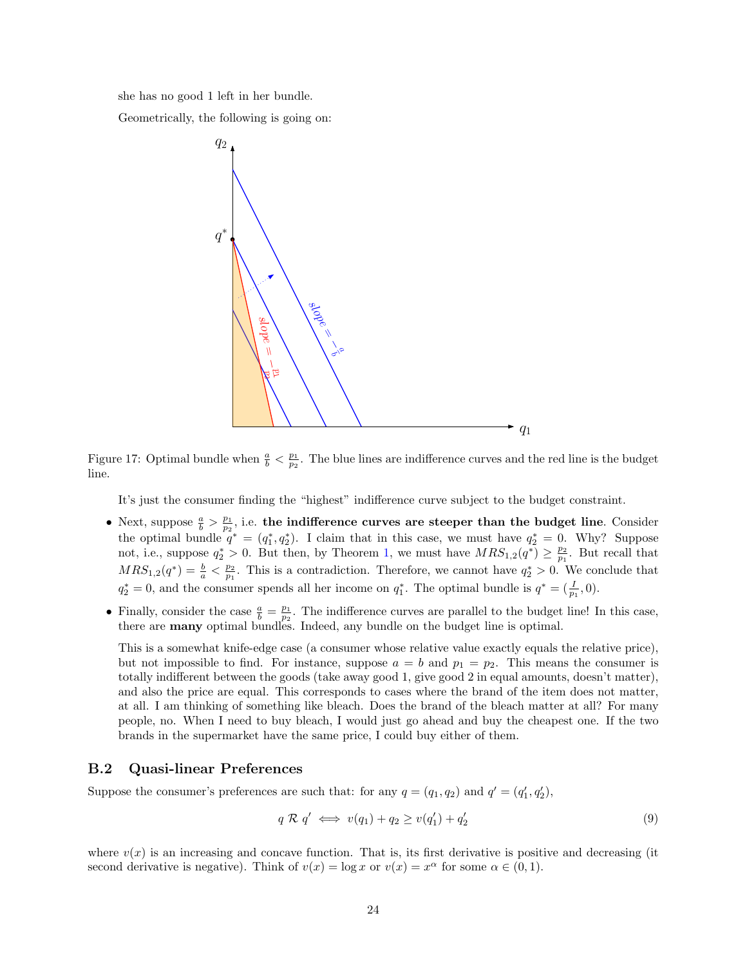she has no good 1 left in her bundle.

Geometrically, the following is going on:



Figure 17: Optimal bundle when  $\frac{a}{b} < \frac{p_1}{p_2}$ . The blue lines are indifference curves and the red line is the budget line.

It's just the consumer finding the "highest" indifference curve subject to the budget constraint.

- Next, suppose  $\frac{a}{b} > \frac{p_1}{p_2}$ , i.e. the indifference curves are steeper than the budget line. Consider the optimal bundle  $q^* = (q_1^*, q_2^*)$ . I claim that in this case, we must have  $q_2^* = 0$ . Why? Suppose not, i.e., suppose  $q_2^* > 0$ . But then, by Theorem [1,](#page-9-2) we must have  $MRS_{1,2}(q^*) \geq \frac{p_2}{p_1}$ . But recall that  $MRS_{1,2}(q^*) = \frac{b}{a} < \frac{p_2}{p_1}$ . This is a contradiction. Therefore, we cannot have  $q_2^* > 0$ . We conclude that  $q_2^* = 0$ , and the consumer spends all her income on  $q_1^*$ . The optimal bundle is  $q^* = (\frac{I}{p_1}, 0)$ .
- Finally, consider the case  $\frac{a}{b} = \frac{p_1}{p_2}$ . The indifference curves are parallel to the budget line! In this case, there are many optimal bundles. Indeed, any bundle on the budget line is optimal.

This is a somewhat knife-edge case (a consumer whose relative value exactly equals the relative price), but not impossible to find. For instance, suppose  $a = b$  and  $p_1 = p_2$ . This means the consumer is totally indifferent between the goods (take away good 1, give good 2 in equal amounts, doesn't matter), and also the price are equal. This corresponds to cases where the brand of the item does not matter, at all. I am thinking of something like bleach. Does the brand of the bleach matter at all? For many people, no. When I need to buy bleach, I would just go ahead and buy the cheapest one. If the two brands in the supermarket have the same price, I could buy either of them.

## <span id="page-23-0"></span>B.2 Quasi-linear Preferences

Suppose the consumer's preferences are such that: for any  $q = (q_1, q_2)$  and  $q' = (q'_1, q'_2)$ ,

<span id="page-23-1"></span>
$$
q \mathcal{R} q' \iff v(q_1) + q_2 \ge v(q'_1) + q'_2 \tag{9}
$$

where  $v(x)$  is an increasing and concave function. That is, its first derivative is positive and decreasing (it second derivative is negative). Think of  $v(x) = \log x$  or  $v(x) = x^{\alpha}$  for some  $\alpha \in (0, 1)$ .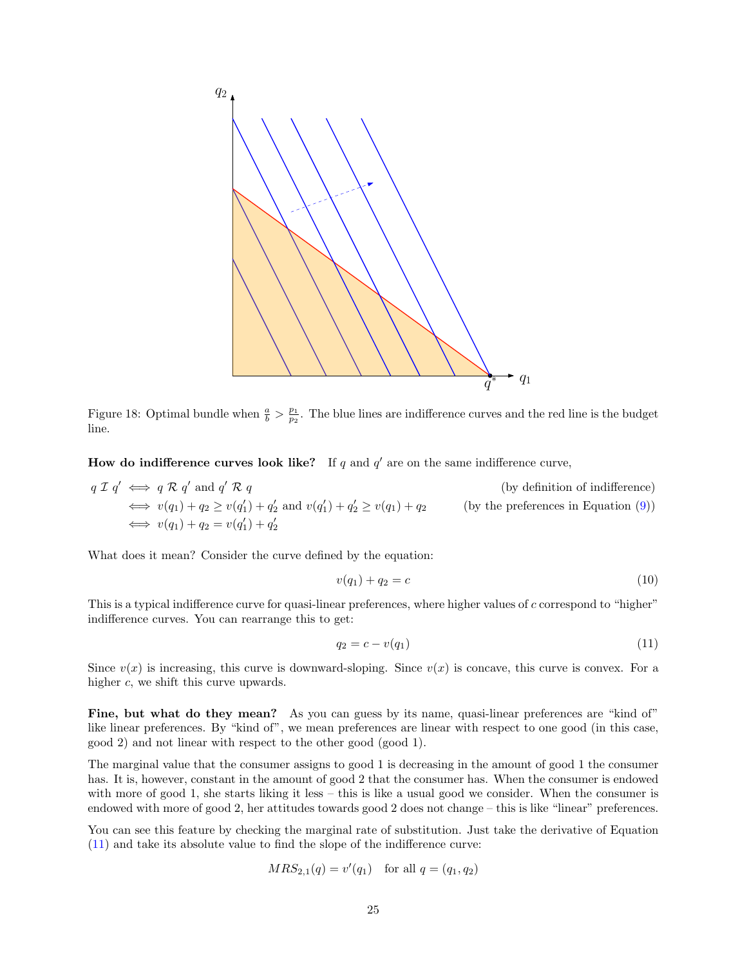

Figure 18: Optimal bundle when  $\frac{a}{b} > \frac{p_1}{p_2}$ . The blue lines are indifference curves and the red line is the budget line.

How do indifference curves look like? If q and  $q'$  are on the same indifference curve,

$$
q \mathcal{I} q' \iff q \mathcal{R} q' \text{ and } q' \mathcal{R} q
$$
 (by definition of indifference)  
\n
$$
\iff v(q_1) + q_2 \ge v(q'_1) + q'_2 \text{ and } v(q'_1) + q'_2 \ge v(q_1) + q_2
$$
 (by the preferences in Equation (9))  
\n
$$
\iff v(q_1) + q_2 = v(q'_1) + q'_2
$$

What does it mean? Consider the curve defined by the equation:

$$
v(q_1) + q_2 = c \tag{10}
$$

This is a typical indifference curve for quasi-linear preferences, where higher values of c correspond to "higher" indifference curves. You can rearrange this to get:

<span id="page-24-0"></span>
$$
q_2 = c - v(q_1) \tag{11}
$$

Since  $v(x)$  is increasing, this curve is downward-sloping. Since  $v(x)$  is concave, this curve is convex. For a higher c, we shift this curve upwards.

Fine, but what do they mean? As you can guess by its name, quasi-linear preferences are "kind of" like linear preferences. By "kind of", we mean preferences are linear with respect to one good (in this case, good 2) and not linear with respect to the other good (good 1).

The marginal value that the consumer assigns to good 1 is decreasing in the amount of good 1 the consumer has. It is, however, constant in the amount of good 2 that the consumer has. When the consumer is endowed with more of good 1, she starts liking it less – this is like a usual good we consider. When the consumer is endowed with more of good 2, her attitudes towards good 2 does not change – this is like "linear" preferences.

You can see this feature by checking the marginal rate of substitution. Just take the derivative of Equation [\(11\)](#page-24-0) and take its absolute value to find the slope of the indifference curve:

$$
MRS_{2,1}(q) = v'(q_1) \text{ for all } q = (q_1, q_2)
$$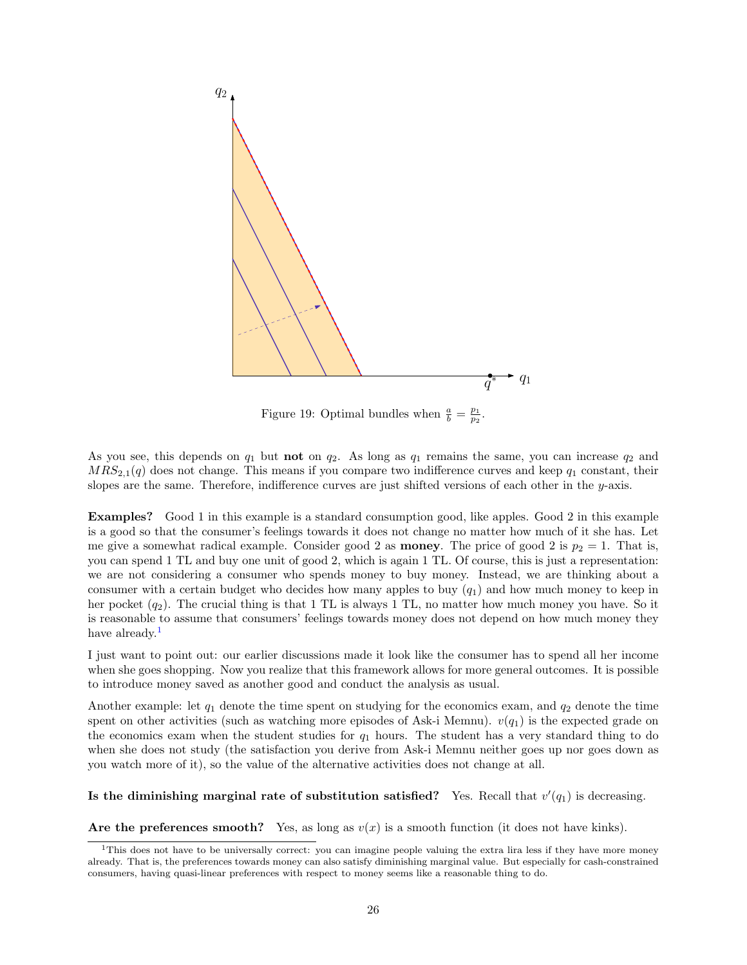

Figure 19: Optimal bundles when  $\frac{a}{b} = \frac{p_1}{p_2}$ .

As you see, this depends on  $q_1$  but **not** on  $q_2$ . As long as  $q_1$  remains the same, you can increase  $q_2$  and  $MRS_{2,1}(q)$  does not change. This means if you compare two indifference curves and keep  $q_1$  constant, their slopes are the same. Therefore, indifference curves are just shifted versions of each other in the  $y$ -axis.

Examples? Good 1 in this example is a standard consumption good, like apples. Good 2 in this example is a good so that the consumer's feelings towards it does not change no matter how much of it she has. Let me give a somewhat radical example. Consider good 2 as **money**. The price of good 2 is  $p_2 = 1$ . That is, you can spend 1 TL and buy one unit of good 2, which is again 1 TL. Of course, this is just a representation: we are not considering a consumer who spends money to buy money. Instead, we are thinking about a consumer with a certain budget who decides how many apples to buy  $(q_1)$  and how much money to keep in her pocket  $(q_2)$ . The crucial thing is that 1 TL is always 1 TL, no matter how much money you have. So it is reasonable to assume that consumers' feelings towards money does not depend on how much money they have already.<sup>[1](#page-25-0)</sup>

I just want to point out: our earlier discussions made it look like the consumer has to spend all her income when she goes shopping. Now you realize that this framework allows for more general outcomes. It is possible to introduce money saved as another good and conduct the analysis as usual.

Another example: let  $q_1$  denote the time spent on studying for the economics exam, and  $q_2$  denote the time spent on other activities (such as watching more episodes of Ask-i Memnu).  $v(q_1)$  is the expected grade on the economics exam when the student studies for  $q_1$  hours. The student has a very standard thing to do when she does not study (the satisfaction you derive from Ask-i Memnu neither goes up nor goes down as you watch more of it), so the value of the alternative activities does not change at all.

## Is the diminishing marginal rate of substitution satisfied? Yes. Recall that  $v'(q_1)$  is decreasing.

Are the preferences smooth? Yes, as long as  $v(x)$  is a smooth function (it does not have kinks).

<span id="page-25-0"></span><sup>&</sup>lt;sup>1</sup>This does not have to be universally correct: you can imagine people valuing the extra lira less if they have more money already. That is, the preferences towards money can also satisfy diminishing marginal value. But especially for cash-constrained consumers, having quasi-linear preferences with respect to money seems like a reasonable thing to do.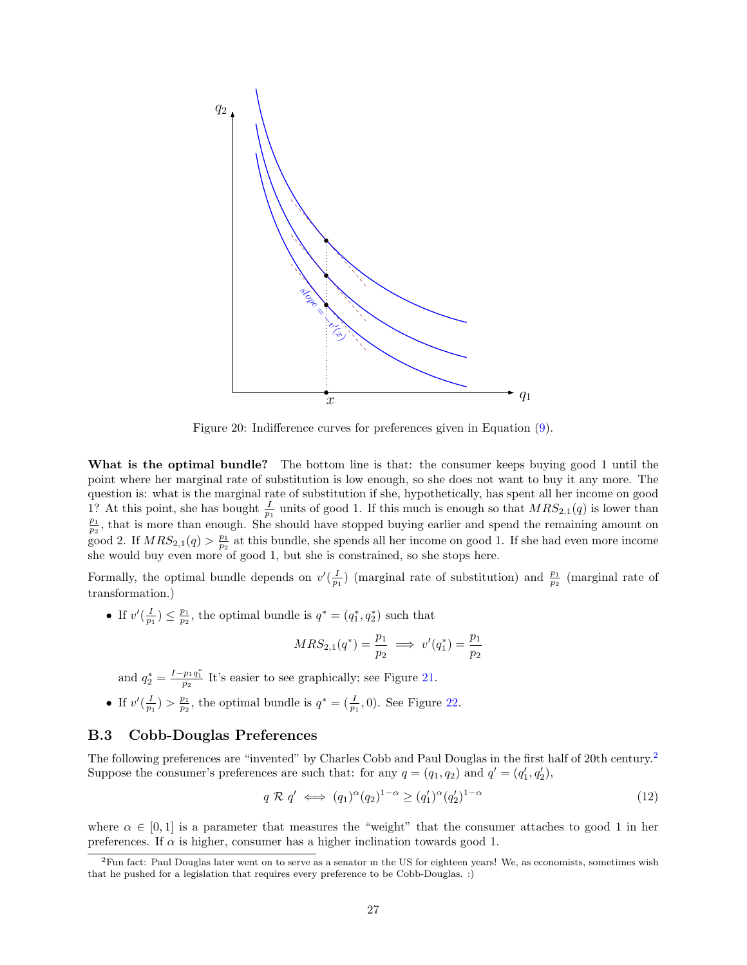

Figure 20: Indifference curves for preferences given in Equation [\(9\)](#page-23-1).

What is the optimal bundle? The bottom line is that: the consumer keeps buying good 1 until the point where her marginal rate of substitution is low enough, so she does not want to buy it any more. The question is: what is the marginal rate of substitution if she, hypothetically, has spent all her income on good 1? At this point, she has bought  $\frac{1}{p_1}$  units of good 1. If this much is enough so that  $MRS_{2,1}(q)$  is lower than  $\frac{p_1}{p_2}$ , that is more than enough. She should have stopped buying earlier and spend the remainin  $\frac{p_2}{p_1}$  at this bundle, she spends all her income on good 1. If she had even more income she would buy even more of good 1, but she is constrained, so she stops here.

Formally, the optimal bundle depends on  $v'(\frac{I}{p_1})$  (marginal rate of substitution) and  $\frac{p_1}{p_2}$  (marginal rate of transformation.)

• If  $v'(\frac{I}{p_1}) \leq \frac{p_1}{p_2}$ , the optimal bundle is  $q^* = (q_1^*, q_2^*)$  such that

$$
MRS_{2,1}(q^*)=\frac{p_1}{p_2}\implies v'(q_1^*)=\frac{p_1}{p_2}
$$

and  $q_2^* = \frac{I - p_1 q_1^*}{p_2}$  It's easier to see graphically; see Figure [21.](#page-27-0)

• If  $v'(\frac{I}{p_1}) > \frac{p_1}{p_2}$ , the optimal bundle is  $q^* = (\frac{I}{p_1}, 0)$ . See Figure [22.](#page-28-0)

## <span id="page-26-0"></span>B.3 Cobb-Douglas Preferences

The following preferences are "invented" by Charles Cobb and Paul Douglas in the first half of 20th century.[2](#page-26-1) Suppose the consumer's preferences are such that: for any  $q = (q_1, q_2)$  and  $q' = (q'_1, q'_2)$ ,

<span id="page-26-2"></span>
$$
q \mathcal{R} q' \iff (q_1)^{\alpha} (q_2)^{1-\alpha} \ge (q'_1)^{\alpha} (q'_2)^{1-\alpha} \tag{12}
$$

where  $\alpha \in [0, 1]$  is a parameter that measures the "weight" that the consumer attaches to good 1 in her preferences. If  $\alpha$  is higher, consumer has a higher inclination towards good 1.

<span id="page-26-1"></span> ${}^{2}$ Fun fact: Paul Douglas later went on to serve as a senator in the US for eighteen years! We, as economists, sometimes wish that he pushed for a legislation that requires every preference to be Cobb-Douglas. :)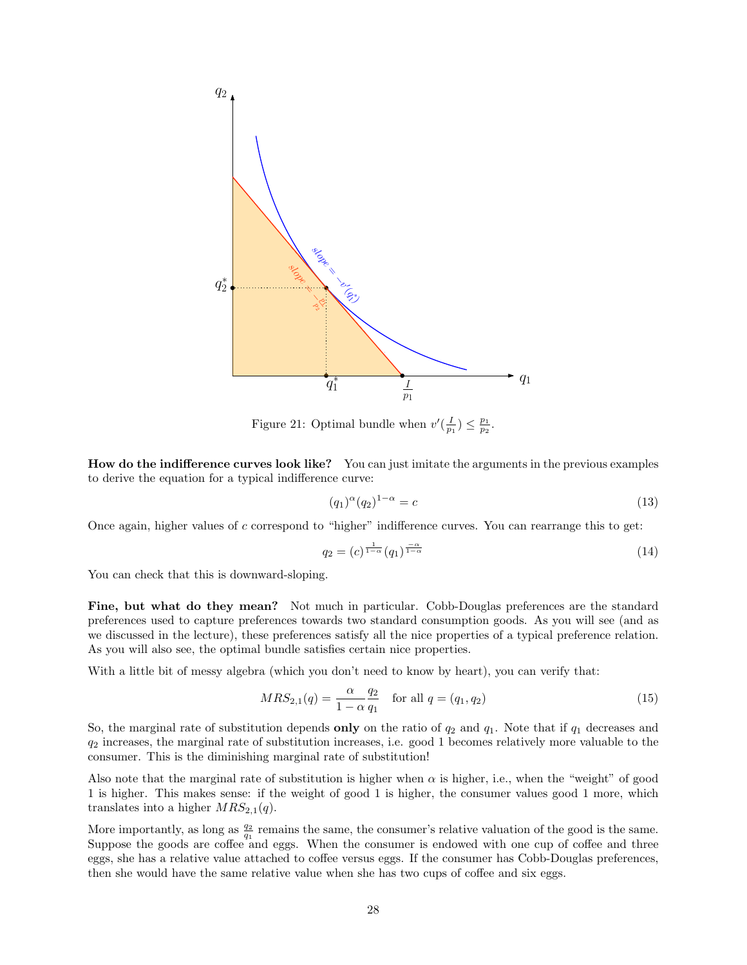

<span id="page-27-0"></span>Figure 21: Optimal bundle when  $v'(\frac{I}{p_1}) \leq \frac{p_1}{p_2}$ .

How do the indifference curves look like? You can just imitate the arguments in the previous examples to derive the equation for a typical indifference curve:

$$
(q_1)^{\alpha}(q_2)^{1-\alpha} = c \tag{13}
$$

Once again, higher values of  $c$  correspond to "higher" indifference curves. You can rearrange this to get:

<span id="page-27-1"></span>
$$
q_2 = (c)^{\frac{1}{1-\alpha}} (q_1)^{\frac{-\alpha}{1-\alpha}}
$$
\n
$$
(14)
$$

You can check that this is downward-sloping.

Fine, but what do they mean? Not much in particular. Cobb-Douglas preferences are the standard preferences used to capture preferences towards two standard consumption goods. As you will see (and as we discussed in the lecture), these preferences satisfy all the nice properties of a typical preference relation. As you will also see, the optimal bundle satisfies certain nice properties.

With a little bit of messy algebra (which you don't need to know by heart), you can verify that:

$$
MRS_{2,1}(q) = \frac{\alpha}{1 - \alpha} \frac{q_2}{q_1} \quad \text{for all } q = (q_1, q_2)
$$
 (15)

So, the marginal rate of substitution depends **only** on the ratio of  $q_2$  and  $q_1$ . Note that if  $q_1$  decreases and  $q_2$  increases, the marginal rate of substitution increases, i.e. good 1 becomes relatively more valuable to the consumer. This is the diminishing marginal rate of substitution!

Also note that the marginal rate of substitution is higher when  $\alpha$  is higher, i.e., when the "weight" of good 1 is higher. This makes sense: if the weight of good 1 is higher, the consumer values good 1 more, which translates into a higher  $MRS_{2,1}(q)$ .

More importantly, as long as  $\frac{q_2}{q_1}$  remains the same, the consumer's relative valuation of the good is the same. Suppose the goods are coffee and eggs. When the consumer is endowed with one cup of coffee and three eggs, she has a relative value attached to coffee versus eggs. If the consumer has Cobb-Douglas preferences, then she would have the same relative value when she has two cups of coffee and six eggs.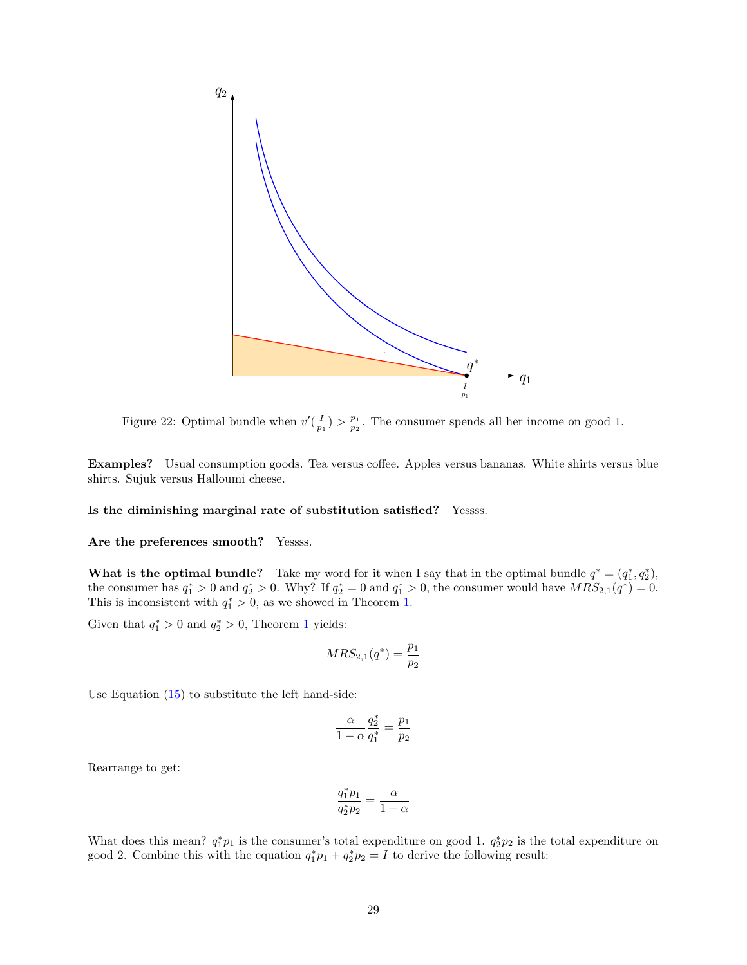

<span id="page-28-0"></span>Figure 22: Optimal bundle when  $v'(\frac{I}{p_1}) > \frac{p_1}{p_2}$ . The consumer spends all her income on good 1.

Examples? Usual consumption goods. Tea versus coffee. Apples versus bananas. White shirts versus blue shirts. Sujuk versus Halloumi cheese.

#### Is the diminishing marginal rate of substitution satisfied? Yessss.

## Are the preferences smooth? Yessss.

What is the optimal bundle? Take my word for it when I say that in the optimal bundle  $q^* = (q_1^*, q_2^*),$ the consumer has  $q_1^* > 0$  and  $q_2^* > 0$ . Why? If  $q_2^* = 0$  and  $q_1^* > 0$ , the consumer would have  $MRS_{2,1}(q^*) = 0$ . This is inconsistent with  $q_1^* > 0$ , as we showed in Theorem [1.](#page-9-2)

Given that  $q_1^* > 0$  $q_1^* > 0$  $q_1^* > 0$  and  $q_2^* > 0$ , Theorem 1 yields:

$$
MRS_{2,1}(q^*) = \frac{p_1}{p_2}
$$

Use Equation [\(15\)](#page-27-1) to substitute the left hand-side:

$$
\frac{\alpha}{1-\alpha}\frac{q_2^*}{q_1^*}=\frac{p_1}{p_2}
$$

Rearrange to get:

$$
\frac{q_1^* p_1}{q_2^* p_2} = \frac{\alpha}{1 - \alpha}
$$

What does this mean?  $q_1^*p_1$  is the consumer's total expenditure on good 1.  $q_2^*p_2$  is the total expenditure on good 2. Combine this with the equation  $q_1^*p_1 + q_2^*p_2 = I$  to derive the following result: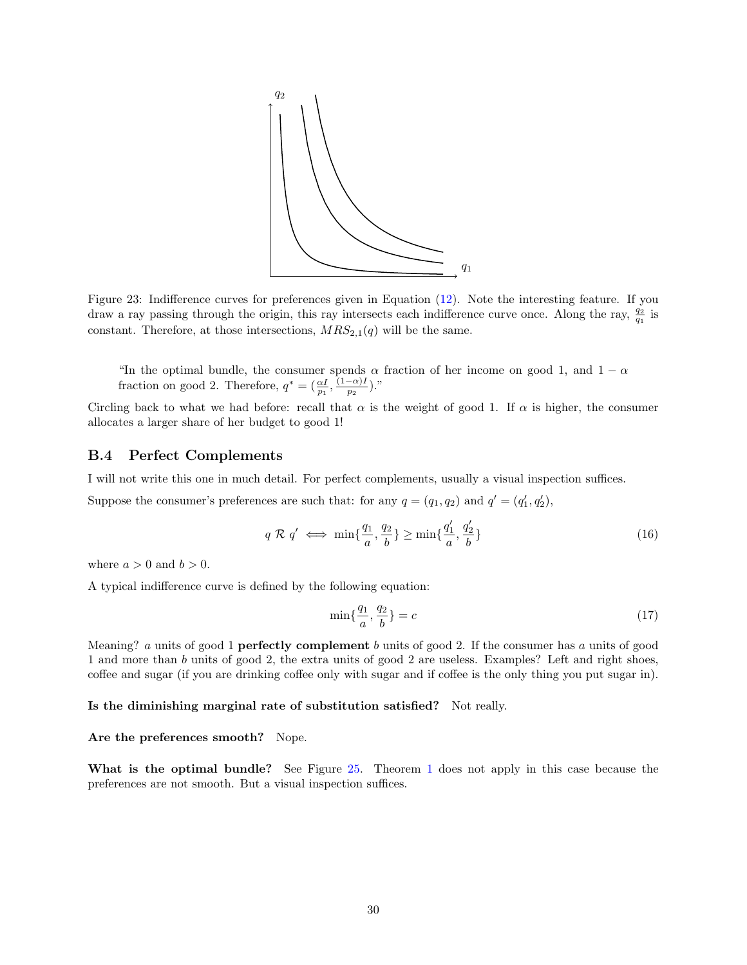

Figure 23: Indifference curves for preferences given in Equation [\(12\)](#page-26-2). Note the interesting feature. If you draw a ray passing through the origin, this ray intersects each indifference curve once. Along the ray,  $\frac{q_2}{q_1}$  is constant. Therefore, at those intersections,  $MRS_{2,1}(q)$  will be the same.

"In the optimal bundle, the consumer spends  $\alpha$  fraction of her income on good 1, and 1 –  $\alpha$ fraction on good 2. Therefore,  $q^* = \left(\frac{\alpha I}{p_1}, \frac{(1-\alpha)I}{p_2}\right)$  $\frac{(-\alpha)1}{p_2}$ )."

Circling back to what we had before: recall that  $\alpha$  is the weight of good 1. If  $\alpha$  is higher, the consumer allocates a larger share of her budget to good 1!

## <span id="page-29-0"></span>B.4 Perfect Complements

I will not write this one in much detail. For perfect complements, usually a visual inspection suffices.

Suppose the consumer's preferences are such that: for any  $q = (q_1, q_2)$  and  $q' = (q'_1, q'_2)$ ,

$$
q \mathcal{R} q' \iff \min\{\frac{q_1}{a}, \frac{q_2}{b}\} \ge \min\{\frac{q'_1}{a}, \frac{q'_2}{b}\}\tag{16}
$$

where  $a > 0$  and  $b > 0$ .

A typical indifference curve is defined by the following equation:

<span id="page-29-1"></span>
$$
\min\{\frac{q_1}{a}, \frac{q_2}{b}\} = c \tag{17}
$$

Meaning? a units of good 1 **perfectly complement** b units of good 2. If the consumer has a units of good 1 and more than b units of good 2, the extra units of good 2 are useless. Examples? Left and right shoes, coffee and sugar (if you are drinking coffee only with sugar and if coffee is the only thing you put sugar in).

Is the diminishing marginal rate of substitution satisfied? Not really.

Are the preferences smooth? Nope.

What is the optimal bundle? See Figure [25.](#page-30-0) Theorem [1](#page-9-2) does not apply in this case because the preferences are not smooth. But a visual inspection suffices.